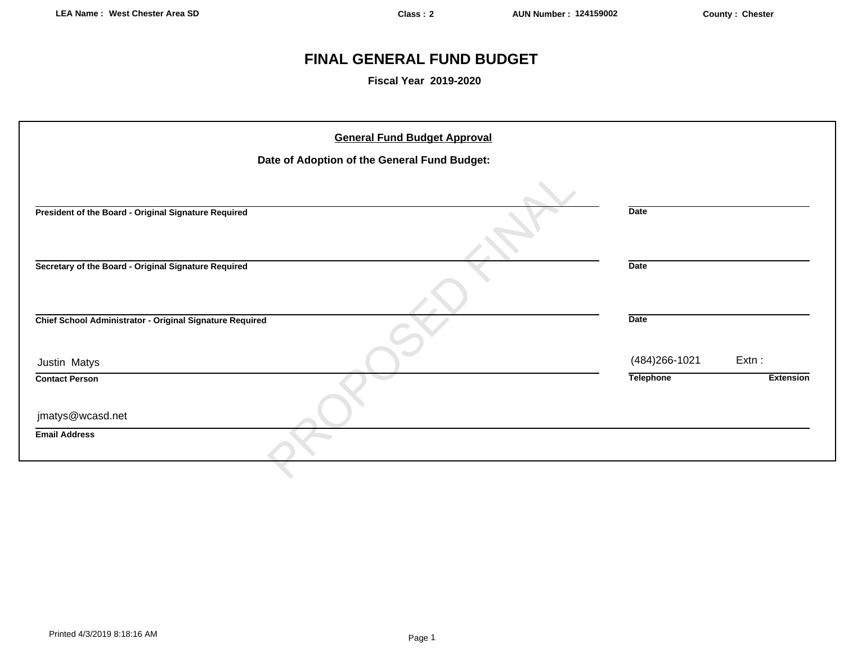# **FINAL GENERAL FUND BUDGET**

**Fiscal Year 2019-2020**

| <b>General Fund Budget Approval</b>                      |                                      |
|----------------------------------------------------------|--------------------------------------|
| Date of Adoption of the General Fund Budget:             |                                      |
|                                                          |                                      |
| President of the Board - Original Signature Required     | <b>Date</b>                          |
| Secretary of the Board - Original Signature Required     | <b>Date</b>                          |
| Chief School Administrator - Original Signature Required | <b>Date</b>                          |
| Justin Matys                                             | $Extn$ :<br>(484) 266-1021           |
| <b>Contact Person</b>                                    | <b>Telephone</b><br><b>Extension</b> |
| jmatys@wcasd.net                                         |                                      |
| <b>Email Address</b>                                     |                                      |
|                                                          |                                      |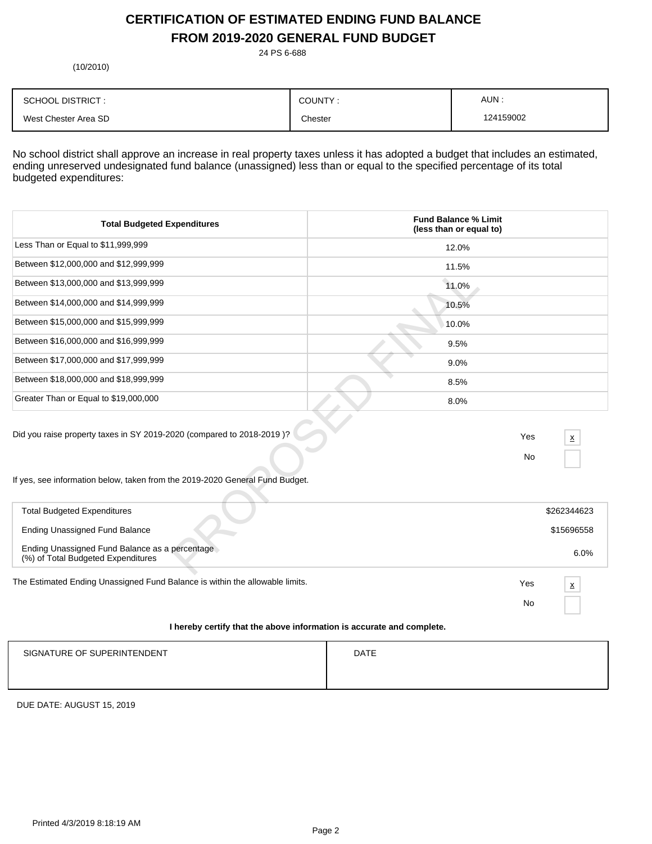# **CERTIFICATION OF ESTIMATED ENDING FUND BALANCE FROM 2019-2020 GENERAL FUND BUDGET**

24 PS 6-688

(10/2010)

| <b>SCHOOL DISTRICT:</b> | COUNTY. | AUN:      |
|-------------------------|---------|-----------|
| West Chester Area SD    | Chester | 124159002 |

No school district shall approve an increase in real property taxes unless it has adopted a budget that includes an estimated, ending unreserved undesignated fund balance (unassigned) less than or equal to the specified percentage of its total budgeted expenditures:

| <b>Total Budgeted Expenditures</b>                                                                                                                    | <b>Fund Balance % Limit</b><br>(less than or equal to) |
|-------------------------------------------------------------------------------------------------------------------------------------------------------|--------------------------------------------------------|
| Less Than or Equal to \$11,999,999                                                                                                                    | 12.0%                                                  |
| Between \$12,000,000 and \$12,999,999                                                                                                                 | 11.5%                                                  |
| Between \$13,000,000 and \$13,999,999                                                                                                                 | 11.0%                                                  |
| Between \$14,000,000 and \$14,999,999                                                                                                                 | 10.5%                                                  |
| Between \$15,000,000 and \$15,999,999                                                                                                                 | 10.0%                                                  |
| Between \$16,000,000 and \$16,999,999                                                                                                                 | 9.5%                                                   |
| Between \$17,000,000 and \$17,999,999                                                                                                                 | 9.0%                                                   |
| Between \$18,000,000 and \$18,999,999                                                                                                                 | 8.5%                                                   |
| Greater Than or Equal to \$19,000,000                                                                                                                 | 8.0%                                                   |
| Did you raise property taxes in SY 2019-2020 (compared to 2018-2019)?<br>If yes, see information below, taken from the 2019-2020 General Fund Budget. | Yes<br>$\mathbf x$<br><b>No</b>                        |
| <b>Total Budgeted Expenditures</b>                                                                                                                    | \$262344623                                            |
| <b>Ending Unassigned Fund Balance</b>                                                                                                                 | \$15696558                                             |
| Ending Unassigned Fund Balance as a percentage<br>(%) of Total Budgeted Expenditures                                                                  | 6.0%                                                   |

| <b>Total Budgeted Expenditures</b>                                                   |     | \$262344623              |
|--------------------------------------------------------------------------------------|-----|--------------------------|
| Ending Unassigned Fund Balance                                                       |     | \$15696558               |
| Ending Unassigned Fund Balance as a percentage<br>(%) of Total Budgeted Expenditures |     | 6.0%                     |
| The Estimated Ending Unassigned Fund Balance is within the allowable limits.         | Yes | $\underline{\mathsf{x}}$ |
|                                                                                      | No  |                          |

## **I hereby certify that the above information is accurate and complete.**

| SIGNATURE OF SUPERINTENDENT | <b>DATE</b> |
|-----------------------------|-------------|
|                             |             |

DUE DATE: AUGUST 15, 2019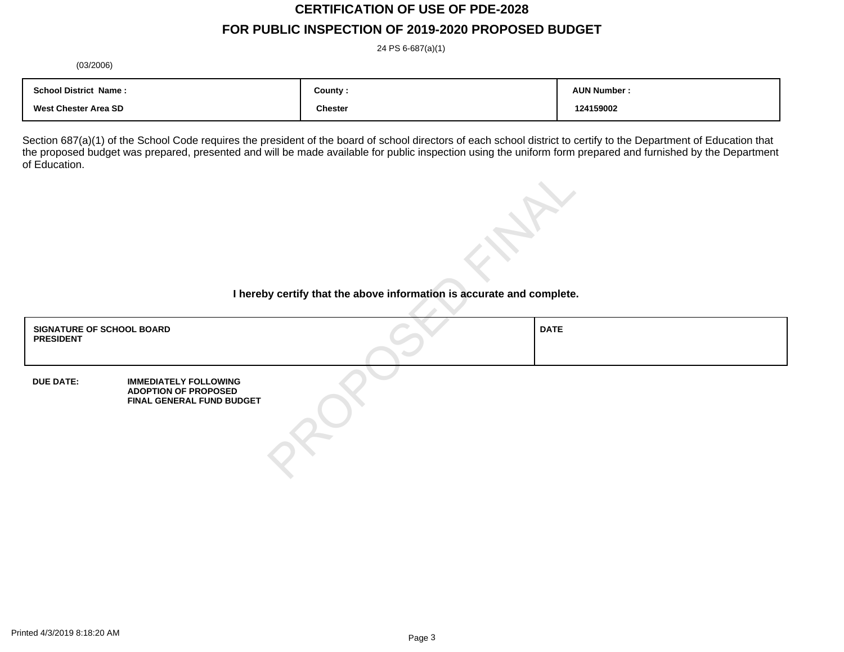# **CERTIFICATION OF USE OF PDE-2028**

# **FOR PUBLIC INSPECTION OF 2019-2020 PROPOSED BUDGET**

24 PS 6-687(a)(1)

(03/2006)

| <b>School District Name:</b> | County :       | <b>AUN Number</b> |
|------------------------------|----------------|-------------------|
| West Chester Area SD         | <b>Chester</b> | 124159002         |

Section 687(a)(1) of the School Code requires the president of the board of school directors of each school district to certify to the Department of Education that the proposed budget was prepared, presented and will be made available for public inspection using the uniform form prepared and furnished by the Department of Education.

| I hereby certify that the above information is accurate and complete. |                                                                                          |  |             |
|-----------------------------------------------------------------------|------------------------------------------------------------------------------------------|--|-------------|
| <b>SIGNATURE OF SCHOOL BOARD</b><br><b>PRESIDENT</b>                  |                                                                                          |  | <b>DATE</b> |
| <b>DUE DATE:</b>                                                      | <b>IMMEDIATELY FOLLOWING</b><br><b>ADOPTION OF PROPOSED</b><br>FINAL GENERAL FUND BUDGET |  |             |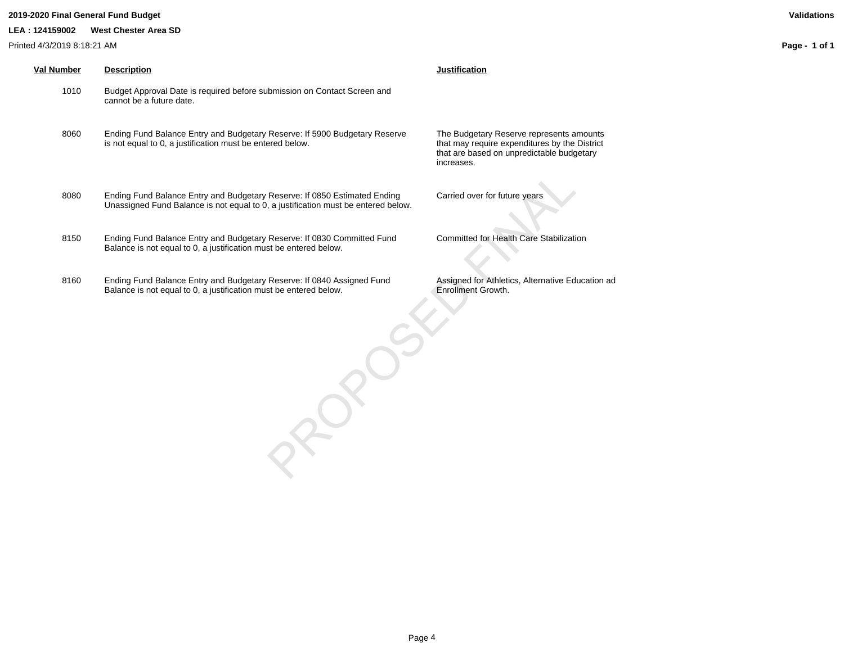### **2019-2020 Final General Fund Budget Validations**

### **LEA : 124159002 West Chester Area SD**

Printed 4/3/2019 8:18:21 AM

| Val Number | <b>Description</b>                                                                                                                                             | Justification                                                |
|------------|----------------------------------------------------------------------------------------------------------------------------------------------------------------|--------------------------------------------------------------|
| 1010       | Budget Approval Date is required before submission on Contact Screen and<br>cannot be a future date.                                                           |                                                              |
| 8060       | Ending Fund Balance Entry and Budgetary Reserve: If 5900 Budgetary Reserve<br>is not equal to 0, a justification must be entered below.                        | The Budgetar<br>that may requ<br>that are base<br>increases. |
| 8080       | Ending Fund Balance Entry and Budgetary Reserve: If 0850 Estimated Ending<br>Unassigned Fund Balance is not equal to 0, a justification must be entered below. | Carried over                                                 |
| 8150       | Ending Fund Balance Entry and Budgetary Reserve: If 0830 Committed Fund<br>Balance is not equal to 0, a justification must be entered below.                   | Committed fo                                                 |

8160 Ending Fund Balance Entry and Budgetary Reserve: If 0840 Assigned Fund Balance is not equal to 0, a justification must be entered below.

 $R^6$ 

**Budgetary Reserve represents amounts** may require expenditures by the District are based on unpredictable budgetary eases.

ried over for future years

nmitted for Health Care Stabilization

Assigned for Athletics, Alternative Education ad Enrollment Growth.

**Page - 1 of 1**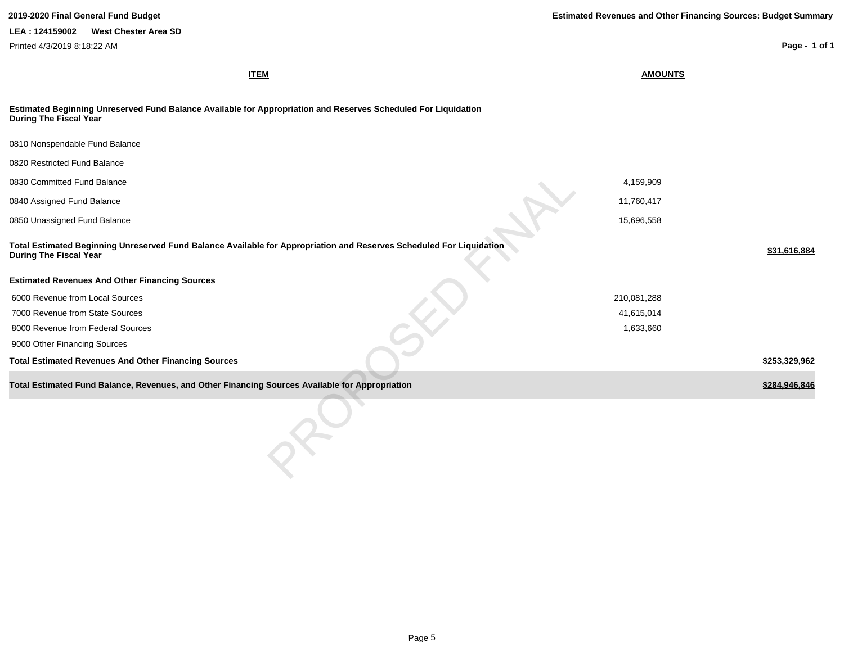**ITEM AMOUNTS Estimated Beginning Unreserved Fund Balance Available for Appropriation and Reserves Scheduled For Liquidation During The Fiscal Year** 0810 Nonspendable Fund Balance 0820 Restricted Fund Balance 0830 Committed Fund Balance 4,159,909 0840 Assigned Fund Balance 11,760,417 0850 Unassigned Fund Balance 15,696,558 Patients and the United States of the United States of the United States of the United States of the United States of the United States of the United States of the United States of t **Total Estimated Beginning Unreserved Fund Balance Available for Appropriation and Reserves Scheduled For Liquidation During The Fiscal Year \$31,616,884 Estimated Revenues And Other Financing Sources** 6000 Revenue from Local Sources 210,081,288 7000 Revenue from State Sources 41,615,014 8000 Revenue from Federal Sources 1,633,660 9000 Other Financing Sources **Total Estimated Revenues And Other Financing Sources \$253,329,962 Total Estimated Fund Balance, Revenues, and Other Financing Sources Available for Appropriation \$284,946,846 \$284,946,846 2019-2020 Final General Fund Budget Estimated Revenues and Other Financing Sources: Budget Summary Page - 1 of 1 LEA : 124159002 West Chester Area SD** Printed 4/3/2019 8:18:22 AM For Appropriation and Reserves Scheduled For Liquidation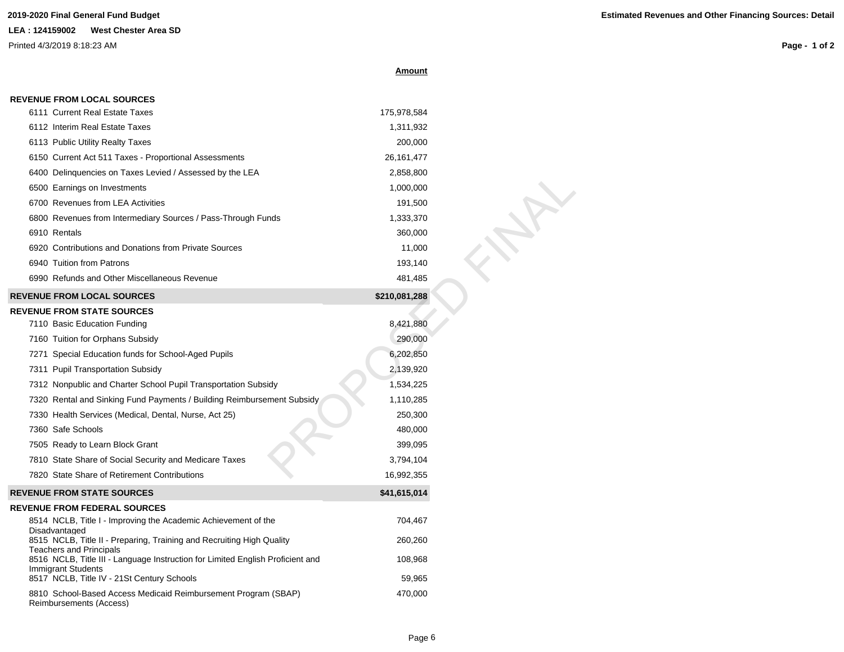# **LEA : 124159002 West Chester Area SD**

 **REVENUE FROM LOCAL SOURCES**

Printed 4/3/2019 8:18:23 AM

**Page - 1 of 2**

|--|

| <b>REVENUE FROM LOGAL SOURGES</b>                                                                                |               |  |
|------------------------------------------------------------------------------------------------------------------|---------------|--|
| 6111 Current Real Estate Taxes                                                                                   | 175,978,584   |  |
| 6112 Interim Real Estate Taxes                                                                                   | 1,311,932     |  |
| 6113 Public Utility Realty Taxes                                                                                 | 200,000       |  |
| 6150 Current Act 511 Taxes - Proportional Assessments                                                            | 26, 161, 477  |  |
| 6400 Delinguencies on Taxes Levied / Assessed by the LEA                                                         | 2,858,800     |  |
| 6500 Earnings on Investments                                                                                     | 1,000,000     |  |
| 6700 Revenues from LEA Activities                                                                                | 191,500       |  |
| 6800 Revenues from Intermediary Sources / Pass-Through Funds                                                     | 1,333,370     |  |
| 6910 Rentals                                                                                                     | 360,000       |  |
| 6920 Contributions and Donations from Private Sources                                                            | 11,000        |  |
| 6940 Tuition from Patrons                                                                                        | 193,140       |  |
| 6990 Refunds and Other Miscellaneous Revenue                                                                     | 481,485       |  |
| <b>REVENUE FROM LOCAL SOURCES</b>                                                                                | \$210,081,288 |  |
| <b>REVENUE FROM STATE SOURCES</b>                                                                                |               |  |
| 7110 Basic Education Funding                                                                                     | 8,421,880     |  |
| 7160 Tuition for Orphans Subsidy                                                                                 | 290,000       |  |
| 7271 Special Education funds for School-Aged Pupils                                                              | 6,202,850     |  |
| 7311 Pupil Transportation Subsidy                                                                                | 2,139,920     |  |
| 7312 Nonpublic and Charter School Pupil Transportation Subsidy                                                   | 1,534,225     |  |
| 7320 Rental and Sinking Fund Payments / Building Reimbursement Subsidy                                           | 1,110,285     |  |
| 7330 Health Services (Medical, Dental, Nurse, Act 25)                                                            | 250,300       |  |
| 7360 Safe Schools                                                                                                | 480,000       |  |
| 7505 Ready to Learn Block Grant                                                                                  | 399,095       |  |
| 7810 State Share of Social Security and Medicare Taxes                                                           | 3,794,104     |  |
| 7820 State Share of Retirement Contributions                                                                     | 16,992,355    |  |
| <b>REVENUE FROM STATE SOURCES</b>                                                                                | \$41,615,014  |  |
| <b>REVENUE FROM FEDERAL SOURCES</b>                                                                              |               |  |
| 8514 NCLB, Title I - Improving the Academic Achievement of the                                                   | 704,467       |  |
| Disadvantaged<br>8515 NCLB, Title II - Preparing, Training and Recruiting High Quality                           | 260,260       |  |
| <b>Teachers and Principals</b><br>8516 NCLB, Title III - Language Instruction for Limited English Proficient and | 108,968       |  |
| Immigrant Students                                                                                               |               |  |
| 8517 NCLB, Title IV - 21St Century Schools                                                                       | 59,965        |  |
| 8810 School-Based Access Medicaid Reimbursement Program (SBAP)<br>Reimbursements (Access)                        | 470,000       |  |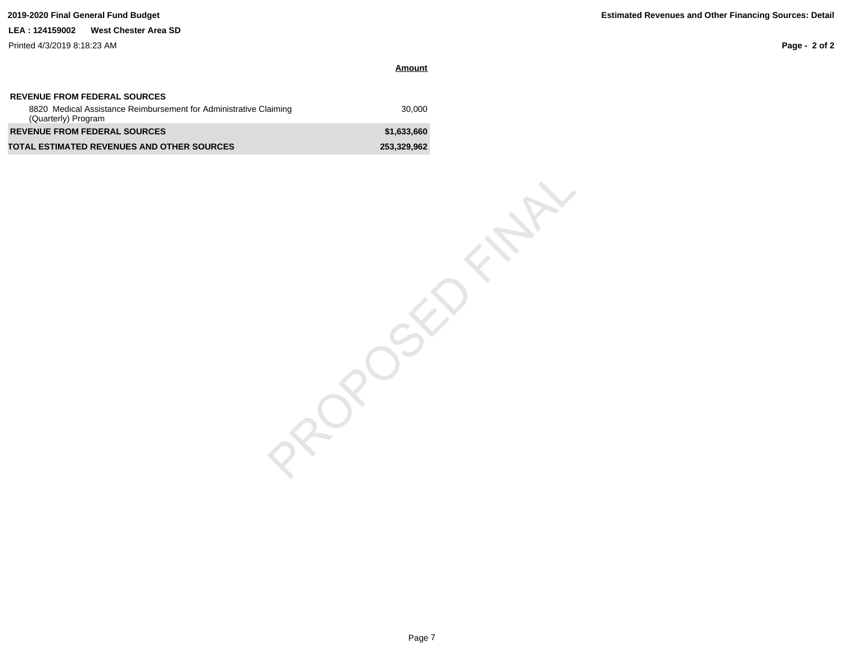### **LEA : 124159002 West Chester Area SD**

Printed 4/3/2019 8:18:23 AM

**Page - 2 of 2**

| Amount |  |
|--------|--|
|        |  |

| <b>REVENUE FROM FEDERAL SOURCES</b>                                                      |             |
|------------------------------------------------------------------------------------------|-------------|
| 8820 Medical Assistance Reimbursement for Administrative Claiming<br>(Quarterly) Program | 30.000      |
| <b>REVENUE FROM FEDERAL SOURCES</b>                                                      | \$1.633.660 |
| <b>TOTAL ESTIMATED REVENUES AND OTHER SOURCES</b>                                        | 253,329,962 |

PROPOSITION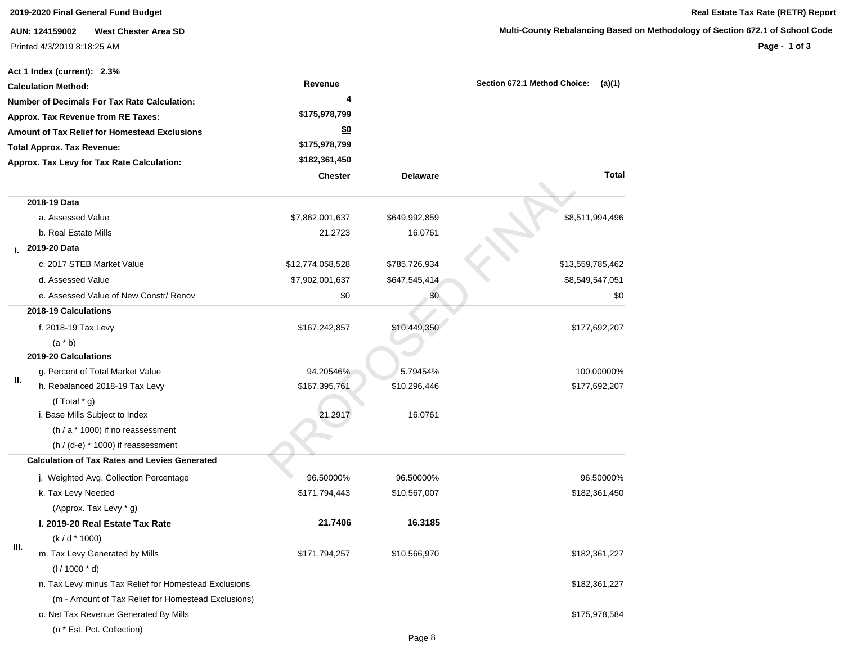|    | <b>West Chester Area SD</b><br>AUN: 124159002         |                  |                 | Multi-County Rebalancing Based on Method |
|----|-------------------------------------------------------|------------------|-----------------|------------------------------------------|
|    | Printed 4/3/2019 8:18:25 AM                           |                  |                 |                                          |
|    |                                                       |                  |                 |                                          |
|    | Act 1 Index (current): 2.3%                           |                  |                 |                                          |
|    | <b>Calculation Method:</b>                            | Revenue          |                 | Section 672.1 Method Choice:<br>(a)(1)   |
|    | <b>Number of Decimals For Tax Rate Calculation:</b>   | 4                |                 |                                          |
|    | Approx. Tax Revenue from RE Taxes:                    | \$175,978,799    |                 |                                          |
|    | Amount of Tax Relief for Homestead Exclusions         | \$0              |                 |                                          |
|    | <b>Total Approx. Tax Revenue:</b>                     | \$175,978,799    |                 |                                          |
|    | Approx. Tax Levy for Tax Rate Calculation:            | \$182,361,450    |                 |                                          |
|    |                                                       | <b>Chester</b>   | <b>Delaware</b> | <b>Total</b>                             |
|    | 2018-19 Data                                          |                  |                 |                                          |
|    | a. Assessed Value                                     | \$7,862,001,637  | \$649,992,859   | \$8,511,994,496                          |
|    | b. Real Estate Mills                                  | 21.2723          | 16.0761         |                                          |
|    | 2019-20 Data                                          |                  |                 |                                          |
|    | c. 2017 STEB Market Value                             | \$12,774,058,528 | \$785,726,934   | \$13,559,785,462                         |
|    | d. Assessed Value                                     | \$7,902,001,637  | \$647,545,414   | \$8,549,547,051                          |
|    | e. Assessed Value of New Constr/ Renov                | \$0              | \$0             | \$0                                      |
|    | 2018-19 Calculations                                  |                  |                 |                                          |
|    | f. 2018-19 Tax Levy                                   | \$167,242,857    | \$10,449,350    | \$177,692,207                            |
|    | $(a * b)$                                             |                  |                 |                                          |
|    | 2019-20 Calculations                                  |                  |                 |                                          |
|    | g. Percent of Total Market Value                      | 94.20546%        | 5.79454%        | 100.00000%                               |
| Ш. | h. Rebalanced 2018-19 Tax Levy                        | \$167,395,761    | \$10,296,446    | \$177,692,207                            |
|    | (f Total $*$ g)                                       |                  |                 |                                          |
|    | i. Base Mills Subject to Index                        | 21.2917          | 16.0761         |                                          |
|    | $(h / a * 1000)$ if no reassessment                   |                  |                 |                                          |
|    | $(h / (d-e) * 1000)$ if reassessment                  |                  |                 |                                          |
|    | <b>Calculation of Tax Rates and Levies Generated</b>  |                  |                 |                                          |
|    | j. Weighted Avg. Collection Percentage                | 96.50000%        | 96.50000%       | 96.50000%                                |
|    | k. Tax Levy Needed                                    | \$171,794,443    | \$10,567,007    | \$182,361,450                            |
|    | (Approx. Tax Levy * g)                                |                  |                 |                                          |
|    | I. 2019-20 Real Estate Tax Rate                       | 21.7406          | 16.3185         |                                          |
| Ш. | $(k/d * 1000)$                                        |                  |                 |                                          |
|    | m. Tax Levy Generated by Mills                        | \$171,794,257    | \$10,566,970    | \$182,361,227                            |
|    | $(1/1000 * d)$                                        |                  |                 |                                          |
|    | n. Tax Levy minus Tax Relief for Homestead Exclusions |                  |                 | \$182,361,227                            |
|    | (m - Amount of Tax Relief for Homestead Exclusions)   |                  |                 |                                          |
|    | o. Net Tax Revenue Generated By Mills                 |                  |                 | \$175,978,584                            |

(n \* Est. Pct. Collection)

## **2019-2020 Final General Fund Budget Real Estate Tax Rate (RETR) Report**

## **Multimary of Section 672.1 of School Code**

**Page - 1 of 3**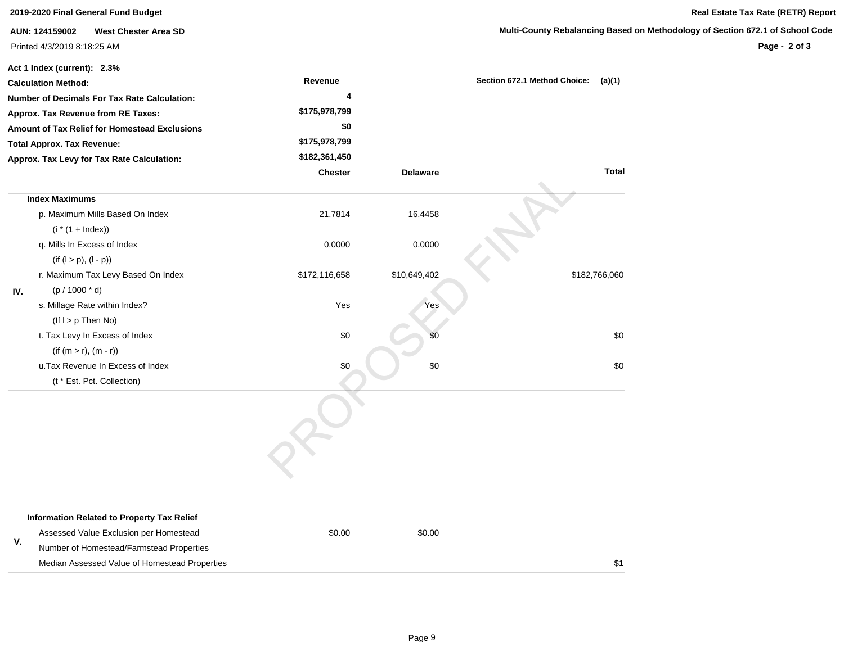|     | 2019-2020 Final General Fund Budget                 |               |                 |                                        | Real Estate Tax Rate (RETR) Report                                            |
|-----|-----------------------------------------------------|---------------|-----------------|----------------------------------------|-------------------------------------------------------------------------------|
|     | <b>West Chester Area SD</b><br>AUN: 124159002       |               |                 |                                        | Multi-County Rebalancing Based on Methodology of Section 672.1 of School Code |
|     | Printed 4/3/2019 8:18:25 AM                         |               |                 |                                        | Page - 2 of 3                                                                 |
|     | Act 1 Index (current): 2.3%                         |               |                 |                                        |                                                                               |
|     | <b>Calculation Method:</b>                          | Revenue       |                 | Section 672.1 Method Choice:<br>(a)(1) |                                                                               |
|     | <b>Number of Decimals For Tax Rate Calculation:</b> | 4             |                 |                                        |                                                                               |
|     | Approx. Tax Revenue from RE Taxes:                  | \$175,978,799 |                 |                                        |                                                                               |
|     | Amount of Tax Relief for Homestead Exclusions       | \$0           |                 |                                        |                                                                               |
|     | <b>Total Approx. Tax Revenue:</b>                   | \$175,978,799 |                 |                                        |                                                                               |
|     | Approx. Tax Levy for Tax Rate Calculation:          | \$182,361,450 |                 |                                        |                                                                               |
|     |                                                     | Chester       | <b>Delaware</b> | <b>Total</b>                           |                                                                               |
|     | <b>Index Maximums</b>                               |               |                 |                                        |                                                                               |
|     | p. Maximum Mills Based On Index                     | 21.7814       | 16.4458         |                                        |                                                                               |
|     | $(i * (1 + Index))$                                 |               |                 |                                        |                                                                               |
|     | q. Mills In Excess of Index                         | 0.0000        | 0.0000          |                                        |                                                                               |
|     | $(if (l > p), (l - p))$                             |               |                 |                                        |                                                                               |
|     | r. Maximum Tax Levy Based On Index                  | \$172,116,658 | \$10,649,402    | \$182,766,060                          |                                                                               |
| IV. | $(p / 1000 * d)$                                    |               |                 |                                        |                                                                               |
|     | s. Millage Rate within Index?                       | Yes           | Yes             |                                        |                                                                               |
|     | $($ If I > $p$ Then No)                             |               |                 |                                        |                                                                               |
|     | t. Tax Levy In Excess of Index                      | \$0           |                 | \$0                                    |                                                                               |
|     | $(if (m > r), (m - r))$                             |               |                 |                                        |                                                                               |
|     | u.Tax Revenue In Excess of Index                    | \$0           | \$0             | \$0                                    |                                                                               |
|     | (t * Est. Pct. Collection)                          |               |                 |                                        |                                                                               |
|     |                                                     |               |                 |                                        |                                                                               |
|     | <b>Information Related to Property Tax Relief</b>   |               |                 |                                        |                                                                               |
| V.  | Assessed Value Exclusion per Homestead              | \$0.00        | \$0.00          |                                        |                                                                               |
|     | Number of Homestead/Farmstead Properties            |               |                 |                                        |                                                                               |
|     | Median Assessed Value of Homestead Properties       |               |                 | \$1                                    |                                                                               |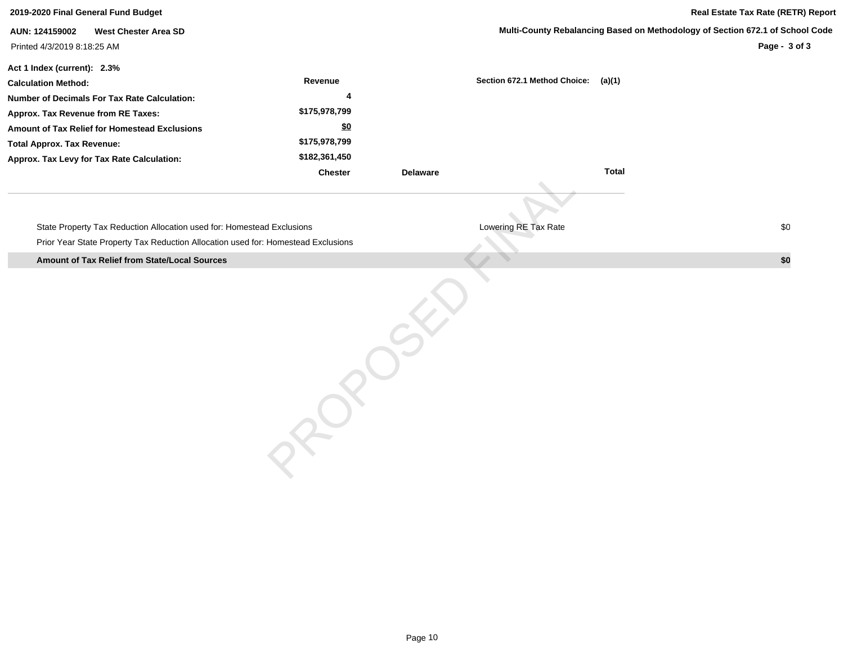| 2019-2020 Final General Fund Budget                                               |                |                 | Real Estate Tax Rate (RETR) Report                                            |               |  |  |
|-----------------------------------------------------------------------------------|----------------|-----------------|-------------------------------------------------------------------------------|---------------|--|--|
| AUN: 124159002<br><b>West Chester Area SD</b><br>Printed 4/3/2019 8:18:25 AM      |                |                 | Multi-County Rebalancing Based on Methodology of Section 672.1 of School Code | Page - 3 of 3 |  |  |
|                                                                                   |                |                 |                                                                               |               |  |  |
| Act 1 Index (current): 2.3%<br><b>Calculation Method:</b>                         | Revenue        |                 | Section 672.1 Method Choice: (a)(1)                                           |               |  |  |
| <b>Number of Decimals For Tax Rate Calculation:</b>                               | 4              |                 |                                                                               |               |  |  |
| Approx. Tax Revenue from RE Taxes:                                                | \$175,978,799  |                 |                                                                               |               |  |  |
| Amount of Tax Relief for Homestead Exclusions                                     | \$0            |                 |                                                                               |               |  |  |
| <b>Total Approx. Tax Revenue:</b>                                                 | \$175,978,799  |                 |                                                                               |               |  |  |
| Approx. Tax Levy for Tax Rate Calculation:                                        | \$182,361,450  |                 |                                                                               |               |  |  |
|                                                                                   | <b>Chester</b> | <b>Delaware</b> | <b>Total</b>                                                                  |               |  |  |
|                                                                                   |                |                 |                                                                               |               |  |  |
|                                                                                   |                |                 |                                                                               |               |  |  |
| State Property Tax Reduction Allocation used for: Homestead Exclusions            |                |                 | Lowering RE Tax Rate                                                          | \$0           |  |  |
| Prior Year State Property Tax Reduction Allocation used for: Homestead Exclusions |                |                 |                                                                               |               |  |  |
| Amount of Tax Relief from State/Local Sources                                     |                |                 |                                                                               | \$0           |  |  |
|                                                                                   |                |                 |                                                                               |               |  |  |
|                                                                                   |                |                 |                                                                               |               |  |  |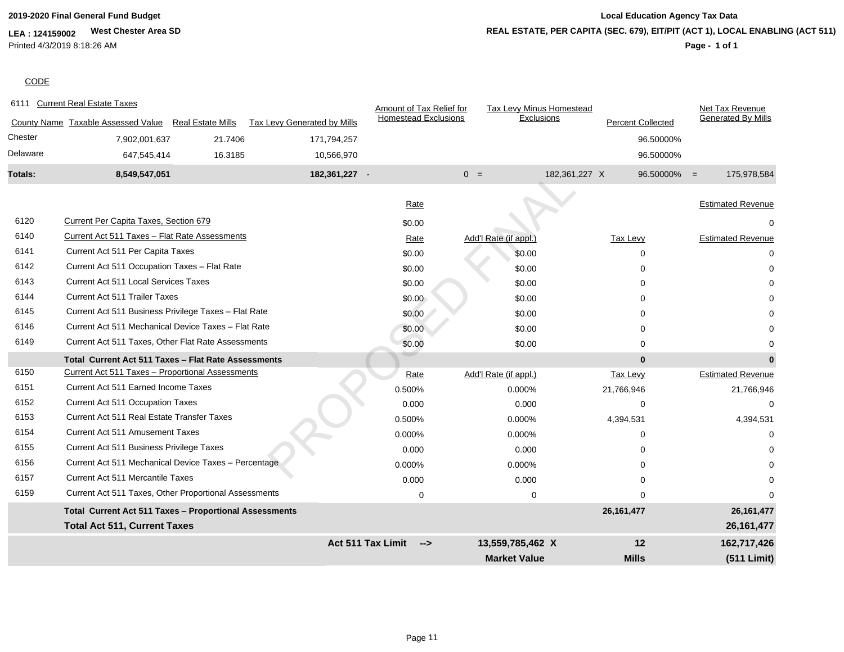## **LEA : 124159002 West Chester Area SD** Printed 4/3/2019 8:18:26 AM

# **2019-2020 Final General Fund Budget Local Education Agency Tax Data REAL ESTATE, PER CAPITA (SEC. 679), EIT/PIT (ACT 1), LOCAL ENABLING (ACT 511)**

**Page - 1 of 1**

## **CODE**

| 6111     | <b>Current Real Estate Taxes</b>                           |                          |                             | Amount of Tax Relief for                  |       | <b>Tax Levy Minus Homestead</b> |               |                          |                | Net Tax Revenue           |
|----------|------------------------------------------------------------|--------------------------|-----------------------------|-------------------------------------------|-------|---------------------------------|---------------|--------------------------|----------------|---------------------------|
|          | County Name Taxable Assessed Value                         | <b>Real Estate Mills</b> | Tax Levy Generated by Mills | <b>Homestead Exclusions</b>               |       | Exclusions                      |               | <b>Percent Collected</b> |                | <b>Generated By Mills</b> |
| Chester  | 7,902,001,637                                              | 21.7406                  | 171,794,257                 |                                           |       |                                 |               |                          | 96.50000%      |                           |
| Delaware | 647,545,414                                                | 16.3185                  | 10,566,970                  |                                           |       |                                 |               |                          | 96.50000%      |                           |
| Totals:  | 8,549,547,051                                              |                          | 182,361,227 -               |                                           | $0 =$ |                                 | 182,361,227 X |                          | $96.50000\% =$ | 175,978,584               |
|          |                                                            |                          |                             | Rate                                      |       |                                 |               |                          |                | <b>Estimated Revenue</b>  |
| 6120     | Current Per Capita Taxes, Section 679                      |                          |                             | \$0.00                                    |       |                                 |               |                          |                |                           |
| 6140     | Current Act 511 Taxes - Flat Rate Assessments              |                          |                             | Rate                                      |       | Add'l Rate (if appl.)           |               | <b>Tax Levy</b>          |                | <b>Estimated Revenue</b>  |
| 6141     | Current Act 511 Per Capita Taxes                           |                          |                             | \$0.00                                    |       | \$0.00                          |               | $\Omega$                 |                |                           |
| 6142     | Current Act 511 Occupation Taxes - Flat Rate               |                          |                             | \$0.00                                    |       | \$0.00                          |               |                          |                |                           |
| 6143     | <b>Current Act 511 Local Services Taxes</b>                |                          |                             | \$0.00                                    |       | \$0.00                          |               |                          |                |                           |
| 6144     | <b>Current Act 511 Trailer Taxes</b>                       |                          |                             | \$0.00                                    |       | \$0.00                          |               | $\Omega$                 |                |                           |
| 6145     | Current Act 511 Business Privilege Taxes - Flat Rate       |                          |                             | \$0.00                                    |       | \$0.00                          |               |                          |                |                           |
| 6146     | Current Act 511 Mechanical Device Taxes - Flat Rate        |                          |                             | \$0.00                                    |       | \$0.00                          |               | U                        |                |                           |
| 6149     | Current Act 511 Taxes, Other Flat Rate Assessments         |                          |                             | \$0.00                                    |       | \$0.00                          |               | $\Omega$                 |                |                           |
|          | <b>Total Current Act 511 Taxes - Flat Rate Assessments</b> |                          |                             |                                           |       |                                 |               | $\mathbf{0}$             |                |                           |
| 6150     | Current Act 511 Taxes - Proportional Assessments           |                          |                             | Rate                                      |       | Add'l Rate (if appl.)           |               | <b>Tax Levy</b>          |                | <b>Estimated Revenue</b>  |
| 6151     | Current Act 511 Earned Income Taxes                        |                          |                             | 0.500%                                    |       | 0.000%                          |               | 21,766,946               |                | 21,766,946                |
| 6152     | Current Act 511 Occupation Taxes                           |                          |                             | 0.000                                     |       | 0.000                           |               |                          |                |                           |
| 6153     | <b>Current Act 511 Real Estate Transfer Taxes</b>          |                          |                             | 0.500%                                    |       | 0.000%                          |               | 4,394,531                |                | 4,394,531                 |
| 6154     | <b>Current Act 511 Amusement Taxes</b>                     |                          |                             | 0.000%                                    |       | 0.000%                          |               | $\Omega$                 |                |                           |
| 6155     | Current Act 511 Business Privilege Taxes                   |                          |                             | 0.000                                     |       | 0.000                           |               |                          |                |                           |
| 6156     | Current Act 511 Mechanical Device Taxes - Percentage       |                          |                             | 0.000%                                    |       | 0.000%                          |               |                          |                |                           |
| 6157     | <b>Current Act 511 Mercantile Taxes</b>                    |                          |                             | 0.000                                     |       | 0.000                           |               | $\Omega$                 |                |                           |
| 6159     | Current Act 511 Taxes, Other Proportional Assessments      |                          |                             | $\mathbf 0$                               |       | $\pmb{0}$                       |               | $\Omega$                 |                |                           |
|          | Total Current Act 511 Taxes - Proportional Assessments     |                          |                             |                                           |       |                                 |               | 26, 161, 477             |                | 26, 161, 477              |
|          | <b>Total Act 511, Current Taxes</b>                        |                          |                             |                                           |       |                                 |               |                          |                | 26, 161, 477              |
|          |                                                            |                          |                             | <b>Act 511 Tax Limit</b><br>$\rightarrow$ |       | 13,559,785,462 X                |               | 12                       |                | 162,717,426               |
|          |                                                            |                          |                             |                                           |       | <b>Market Value</b>             |               | <b>Mills</b>             |                | (511 Limit)               |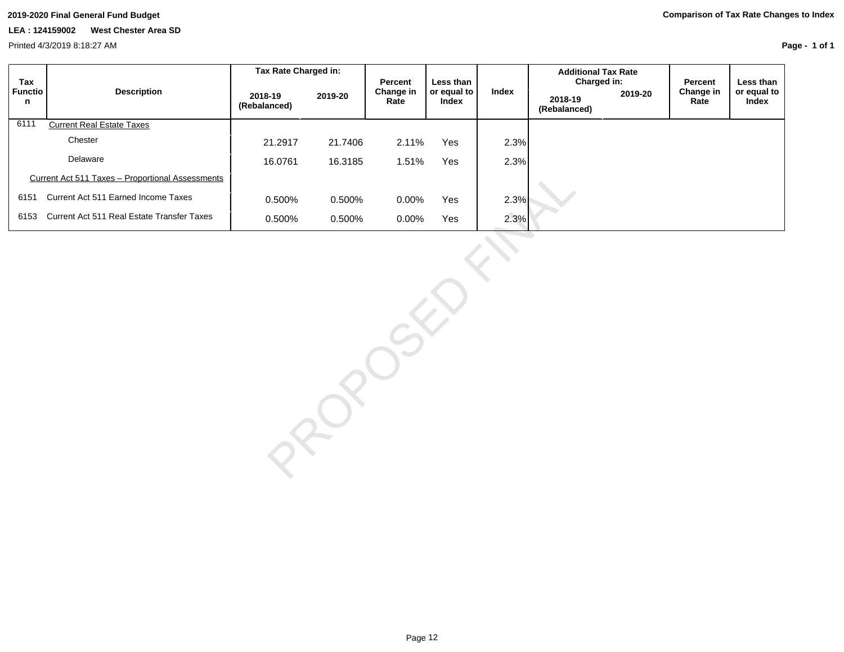**Page - 1 of 1**

| Tax          |                                                         | Tax Rate Charged in:    |         | <b>Percent</b>    | Less than            |       | <b>Additional Tax Rate</b><br>Charged in: |         | Percent           | Less than            |
|--------------|---------------------------------------------------------|-------------------------|---------|-------------------|----------------------|-------|-------------------------------------------|---------|-------------------|----------------------|
| Functio<br>n | <b>Description</b>                                      | 2018-19<br>(Rebalanced) | 2019-20 | Change in<br>Rate | or equal to<br>Index | Index | 2018-19<br>(Rebalanced)                   | 2019-20 | Change in<br>Rate | or equal to<br>Index |
| 6111         | <b>Current Real Estate Taxes</b>                        |                         |         |                   |                      |       |                                           |         |                   |                      |
|              | Chester                                                 | 21.2917                 | 21.7406 | 2.11%             | Yes                  | 2.3%  |                                           |         |                   |                      |
|              | Delaware                                                | 16.0761                 | 16.3185 | 1.51%             | Yes                  | 2.3%  |                                           |         |                   |                      |
|              | <b>Current Act 511 Taxes - Proportional Assessments</b> |                         |         |                   |                      |       |                                           |         |                   |                      |
| 6151         | Current Act 511 Earned Income Taxes                     | 0.500%                  | 0.500%  | $0.00\%$          | Yes                  | 2.3%  |                                           |         |                   |                      |
| 6153         | Current Act 511 Real Estate Transfer Taxes              | 0.500%                  | 0.500%  | $0.00\%$          | Yes                  | 2.3%  |                                           |         |                   |                      |

0.500% 0.500% 0.00% Yes<br>
0.500% 0.600% Yes<br>
2.3%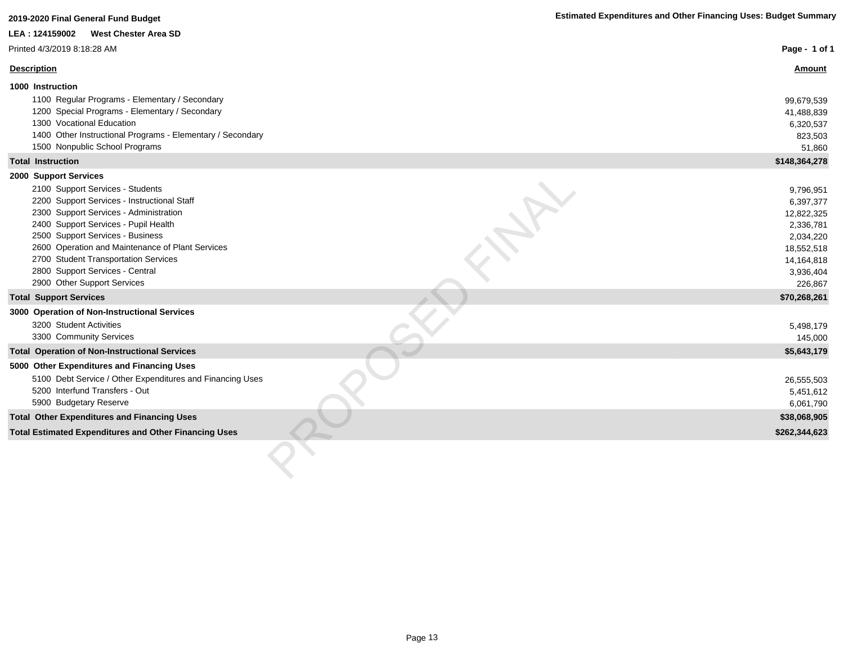## **LEA : 124159002 West Chester Area SD**

### Printed 4/3/2019 8:18:28 AM

| Printed 4/3/2019 8:18:28 AM                                                                                                                                                                                                                                                                                                                                                                  | Page - 1 of 1                                                                                                      |
|----------------------------------------------------------------------------------------------------------------------------------------------------------------------------------------------------------------------------------------------------------------------------------------------------------------------------------------------------------------------------------------------|--------------------------------------------------------------------------------------------------------------------|
| <b>Description</b>                                                                                                                                                                                                                                                                                                                                                                           | <b>Amount</b>                                                                                                      |
| 1000 Instruction                                                                                                                                                                                                                                                                                                                                                                             |                                                                                                                    |
| 1100 Regular Programs - Elementary / Secondary<br>1200 Special Programs - Elementary / Secondary<br>1300 Vocational Education<br>1400 Other Instructional Programs - Elementary / Secondary<br>1500 Nonpublic School Programs                                                                                                                                                                | 99,679,539<br>41,488,839<br>6,320,537<br>823,503<br>51,860                                                         |
| <b>Total Instruction</b>                                                                                                                                                                                                                                                                                                                                                                     | \$148,364,278                                                                                                      |
| 2000 Support Services<br>2100 Support Services - Students<br>2200 Support Services - Instructional Staff<br>2300 Support Services - Administration<br>2400 Support Services - Pupil Health<br>2500 Support Services - Business<br>2600 Operation and Maintenance of Plant Services<br>2700 Student Transportation Services<br>2800 Support Services - Central<br>2900 Other Support Services | 9,796,951<br>6,397,377<br>12,822,325<br>2,336,781<br>2,034,220<br>18,552,518<br>14,164,818<br>3,936,404<br>226,867 |
| <b>Total Support Services</b>                                                                                                                                                                                                                                                                                                                                                                | \$70,268,261                                                                                                       |
| 3000 Operation of Non-Instructional Services<br>3200 Student Activities<br>3300 Community Services                                                                                                                                                                                                                                                                                           | 5,498,179<br>145,000                                                                                               |
| <b>Total Operation of Non-Instructional Services</b>                                                                                                                                                                                                                                                                                                                                         | \$5,643,179                                                                                                        |
| 5000 Other Expenditures and Financing Uses<br>5100 Debt Service / Other Expenditures and Financing Uses<br>5200 Interfund Transfers - Out<br>5900 Budgetary Reserve                                                                                                                                                                                                                          | 26,555,503<br>5,451,612<br>6,061,790                                                                               |
| <b>Total Other Expenditures and Financing Uses</b>                                                                                                                                                                                                                                                                                                                                           | \$38,068,905                                                                                                       |
| <b>Total Estimated Expenditures and Other Financing Uses</b>                                                                                                                                                                                                                                                                                                                                 | \$262,344,623                                                                                                      |
|                                                                                                                                                                                                                                                                                                                                                                                              |                                                                                                                    |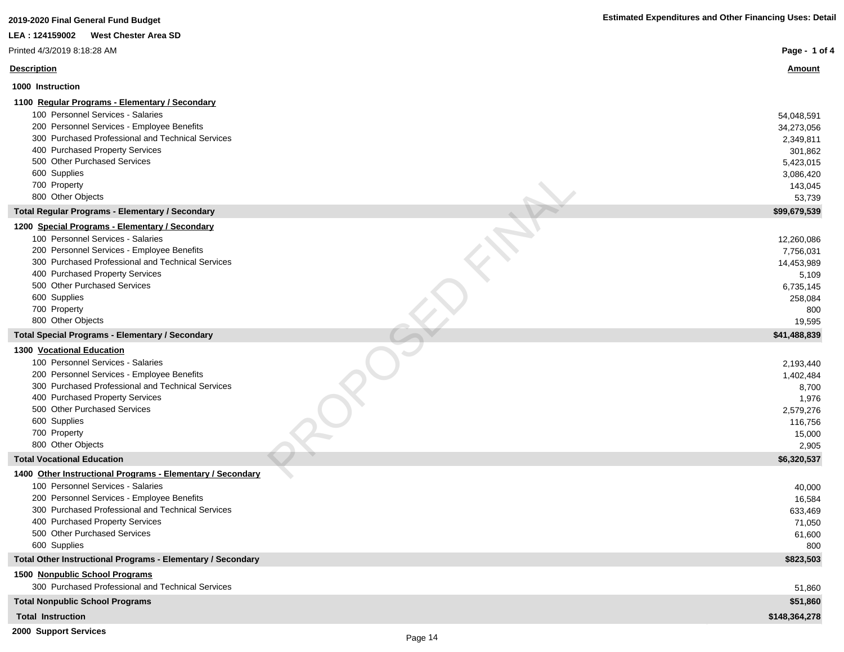|  |  |  | <b>Estimated Expenditures and Other Financing Uses: Detail</b> |
|--|--|--|----------------------------------------------------------------|
|--|--|--|----------------------------------------------------------------|

| <b>West Chester Area SD</b><br>LEA: 124159002                   |                      |
|-----------------------------------------------------------------|----------------------|
| Printed 4/3/2019 8:18:28 AM                                     | Page - 1 of 4        |
| <b>Description</b>                                              | <b>Amount</b>        |
| 1000 Instruction                                                |                      |
| 1100 Regular Programs - Elementary / Secondary                  |                      |
| 100 Personnel Services - Salaries                               | 54,048,591           |
| 200 Personnel Services - Employee Benefits                      | 34,273,056           |
| 300 Purchased Professional and Technical Services               | 2,349,811            |
| 400 Purchased Property Services                                 | 301,862              |
| 500 Other Purchased Services<br>600 Supplies                    | 5,423,015            |
| 700 Property                                                    | 3,086,420<br>143,045 |
| 800 Other Objects                                               | 53,739               |
| Total Regular Programs - Elementary / Secondary                 | \$99,679,539         |
| 1200 Special Programs - Elementary / Secondary                  |                      |
| 100 Personnel Services - Salaries                               | 12,260,086           |
| 200 Personnel Services - Employee Benefits                      | 7,756,031            |
| 300 Purchased Professional and Technical Services               | 14,453,989           |
| 400 Purchased Property Services                                 | 5,109                |
| 500 Other Purchased Services                                    | 6,735,145            |
| 600 Supplies<br>700 Property                                    | 258,084<br>800       |
| 800 Other Objects                                               | 19,595               |
| <b>Total Special Programs - Elementary / Secondary</b>          | \$41,488,839         |
| 1300 Vocational Education                                       |                      |
| 100 Personnel Services - Salaries                               | 2,193,440            |
| 200 Personnel Services - Employee Benefits                      | 1,402,484            |
| 300 Purchased Professional and Technical Services               | 8,700                |
| 400 Purchased Property Services                                 | 1,976                |
| 500 Other Purchased Services                                    | 2,579,276            |
| 600 Supplies<br>700 Property                                    | 116,756<br>15,000    |
| 800 Other Objects                                               | 2,905                |
| <b>Total Vocational Education</b>                               | \$6,320,537          |
| 1400 Other Instructional Programs - Elementary / Secondary      |                      |
| 100 Personnel Services - Salaries                               | 40,000               |
| 200 Personnel Services - Employee Benefits                      | 16,584               |
| 300 Purchased Professional and Technical Services               | 633,469              |
| 400 Purchased Property Services<br>500 Other Purchased Services | 71,050               |
| 600 Supplies                                                    | 61,600               |
| Total Other Instructional Programs - Elementary / Secondary     | 800<br>\$823,503     |
| 1500 Nonpublic School Programs                                  |                      |
| 300 Purchased Professional and Technical Services               | 51,860               |
| <b>Total Nonpublic School Programs</b>                          | \$51,860             |
| <b>Total Instruction</b>                                        | \$148,364,278        |
| 2000 Support Services                                           |                      |

**2019-2020 Final General Fund Budget**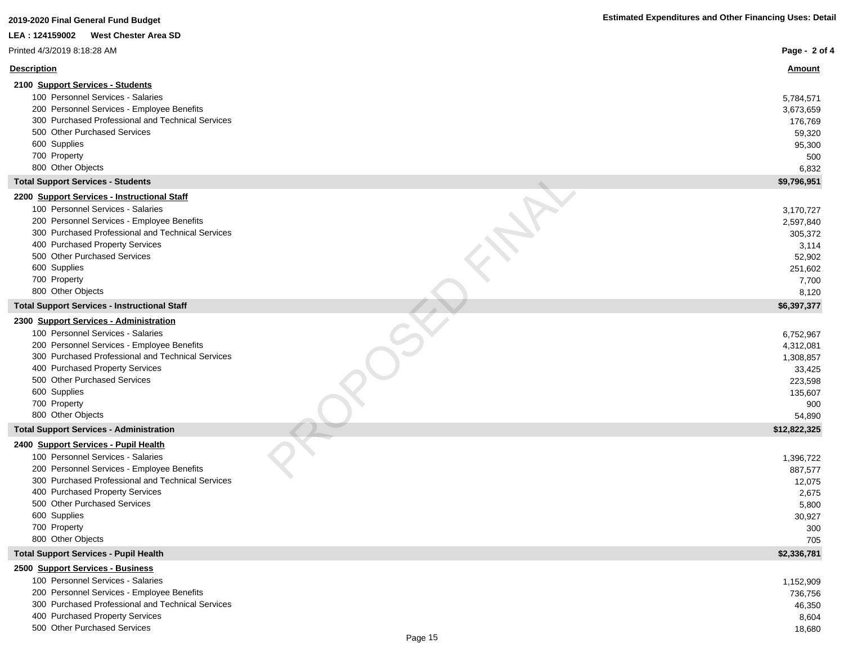## **LEA : 124159002 West Chester Area SD**

| Printed 4/3/2019 8:18:28 AM                                                                                                                                                                                                                                                                            | Page - 2 of 4                                                                        |
|--------------------------------------------------------------------------------------------------------------------------------------------------------------------------------------------------------------------------------------------------------------------------------------------------------|--------------------------------------------------------------------------------------|
| <b>Description</b>                                                                                                                                                                                                                                                                                     | <b>Amount</b>                                                                        |
| 2100 Support Services - Students                                                                                                                                                                                                                                                                       |                                                                                      |
| 100 Personnel Services - Salaries<br>200 Personnel Services - Employee Benefits<br>300 Purchased Professional and Technical Services<br>500 Other Purchased Services<br>600 Supplies<br>700 Property<br>800 Other Objects                                                                              | 5,784,571<br>3,673,659<br>176,769<br>59,320<br>95,300<br>500<br>6,832                |
| <b>Total Support Services - Students</b>                                                                                                                                                                                                                                                               | \$9,796,951                                                                          |
| 2200 Support Services - Instructional Staff                                                                                                                                                                                                                                                            |                                                                                      |
| 100 Personnel Services - Salaries<br>200 Personnel Services - Employee Benefits<br>300 Purchased Professional and Technical Services<br>400 Purchased Property Services<br>500 Other Purchased Services<br>600 Supplies<br>700 Property<br>800 Other Objects                                           | 3,170,727<br>2,597,840<br>305,372<br>3,114<br>52,902<br>251,602<br>7,700<br>8,120    |
| <b>Total Support Services - Instructional Staff</b>                                                                                                                                                                                                                                                    | \$6,397,377                                                                          |
| 2300 Support Services - Administration<br>100 Personnel Services - Salaries<br>200 Personnel Services - Employee Benefits<br>300 Purchased Professional and Technical Services<br>400 Purchased Property Services<br>500 Other Purchased Services<br>600 Supplies<br>700 Property<br>800 Other Objects | 6,752,967<br>4,312,081<br>1,308,857<br>33,425<br>223,598<br>135,607<br>900<br>54,890 |
| <b>Total Support Services - Administration</b>                                                                                                                                                                                                                                                         | \$12,822,325                                                                         |
| 2400 Support Services - Pupil Health<br>100 Personnel Services - Salaries<br>200 Personnel Services - Employee Benefits<br>300 Purchased Professional and Technical Services<br>400 Purchased Property Services<br>500 Other Purchased Services<br>600 Supplies<br>700 Property<br>800 Other Objects   | 1,396,722<br>887,577<br>12,075<br>2,675<br>5,800<br>30,927<br>300<br>705             |
| <b>Total Support Services - Pupil Health</b>                                                                                                                                                                                                                                                           | \$2,336,781                                                                          |
| 2500 Support Services - Business<br>100 Personnel Services - Salaries<br>200 Personnel Services - Employee Benefits<br>300 Purchased Professional and Technical Services<br>400 Purchased Property Services<br>500 Other Purchased Services                                                            | 1,152,909<br>736,756<br>46,350<br>8,604<br>18,680                                    |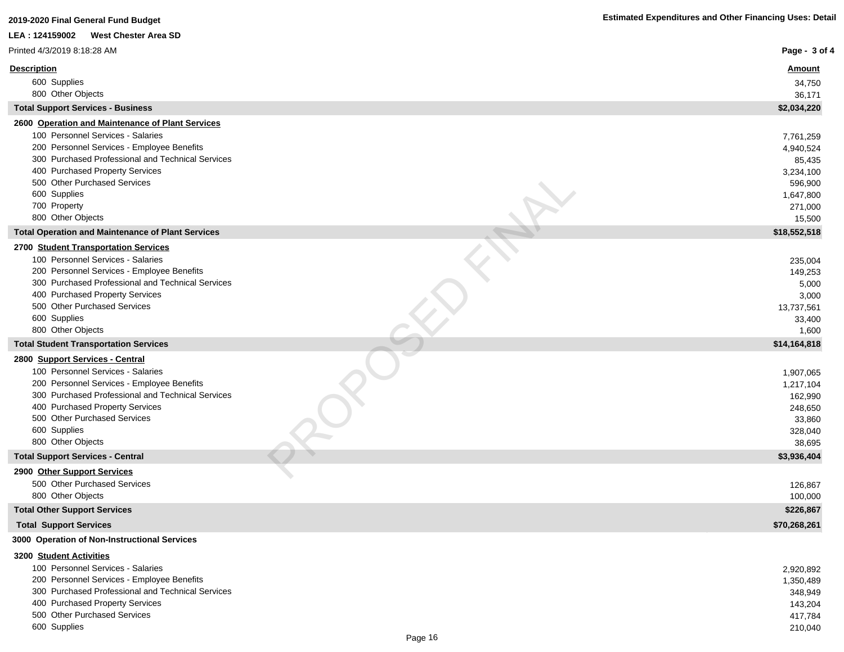| <b>West Chester Area SD</b><br>LEA: 124159002<br>Printed 4/3/2019 8:18:28 AM<br>Page - 3 of 4<br><b>Description</b><br><u>Amount</u><br>600 Supplies<br>34,750<br>800 Other Objects<br>36,171<br>\$2,034,220<br><b>Total Support Services - Business</b><br>2600 Operation and Maintenance of Plant Services<br>100 Personnel Services - Salaries<br>7,761,259<br>200 Personnel Services - Employee Benefits<br>4,940,524<br>300 Purchased Professional and Technical Services<br>85,435<br>400 Purchased Property Services<br>3,234,100<br>500 Other Purchased Services<br>596,900<br>600 Supplies<br>1,647,800<br>700 Property<br>271,000<br>800 Other Objects<br>15,500<br>\$18,552,518<br><b>Total Operation and Maintenance of Plant Services</b><br>2700 Student Transportation Services<br>100 Personnel Services - Salaries<br>235,004<br>200 Personnel Services - Employee Benefits<br>149,253<br>300 Purchased Professional and Technical Services<br>5,000<br>400 Purchased Property Services<br>3,000<br>500 Other Purchased Services<br>13,737,561<br>600 Supplies<br>33,400<br>800 Other Objects<br>1,600<br><b>Total Student Transportation Services</b><br>\$14,164,818<br>2800 Support Services - Central<br>100 Personnel Services - Salaries<br>1,907,065<br>200 Personnel Services - Employee Benefits<br>1,217,104<br>300 Purchased Professional and Technical Services<br>162,990<br>400 Purchased Property Services<br>248,650<br>500 Other Purchased Services<br>33,860<br>600 Supplies<br>328,040<br>800 Other Objects<br>38,695<br>\$3,936,404<br><b>Total Support Services - Central</b><br>2900 Other Support Services<br>500 Other Purchased Services<br>126,867<br>800 Other Objects<br>100,000<br><b>Total Other Support Services</b><br>\$226,867<br><b>Total Support Services</b><br>\$70,268,261<br>3000 Operation of Non-Instructional Services<br>3200 Student Activities<br>100 Personnel Services - Salaries<br>2,920,892<br>200 Personnel Services - Employee Benefits<br>1,350,489<br>300 Purchased Professional and Technical Services<br>348,949<br>400 Purchased Property Services<br>143,204 | 2019-2020 Final General Fund Budget | <b>Estimated Expenditures and Other Financing Uses: Detail</b> |
|------------------------------------------------------------------------------------------------------------------------------------------------------------------------------------------------------------------------------------------------------------------------------------------------------------------------------------------------------------------------------------------------------------------------------------------------------------------------------------------------------------------------------------------------------------------------------------------------------------------------------------------------------------------------------------------------------------------------------------------------------------------------------------------------------------------------------------------------------------------------------------------------------------------------------------------------------------------------------------------------------------------------------------------------------------------------------------------------------------------------------------------------------------------------------------------------------------------------------------------------------------------------------------------------------------------------------------------------------------------------------------------------------------------------------------------------------------------------------------------------------------------------------------------------------------------------------------------------------------------------------------------------------------------------------------------------------------------------------------------------------------------------------------------------------------------------------------------------------------------------------------------------------------------------------------------------------------------------------------------------------------------------------------------------------------------------------------------------------------------------------------------|-------------------------------------|----------------------------------------------------------------|
|                                                                                                                                                                                                                                                                                                                                                                                                                                                                                                                                                                                                                                                                                                                                                                                                                                                                                                                                                                                                                                                                                                                                                                                                                                                                                                                                                                                                                                                                                                                                                                                                                                                                                                                                                                                                                                                                                                                                                                                                                                                                                                                                          |                                     |                                                                |
|                                                                                                                                                                                                                                                                                                                                                                                                                                                                                                                                                                                                                                                                                                                                                                                                                                                                                                                                                                                                                                                                                                                                                                                                                                                                                                                                                                                                                                                                                                                                                                                                                                                                                                                                                                                                                                                                                                                                                                                                                                                                                                                                          |                                     |                                                                |
|                                                                                                                                                                                                                                                                                                                                                                                                                                                                                                                                                                                                                                                                                                                                                                                                                                                                                                                                                                                                                                                                                                                                                                                                                                                                                                                                                                                                                                                                                                                                                                                                                                                                                                                                                                                                                                                                                                                                                                                                                                                                                                                                          |                                     |                                                                |
|                                                                                                                                                                                                                                                                                                                                                                                                                                                                                                                                                                                                                                                                                                                                                                                                                                                                                                                                                                                                                                                                                                                                                                                                                                                                                                                                                                                                                                                                                                                                                                                                                                                                                                                                                                                                                                                                                                                                                                                                                                                                                                                                          |                                     |                                                                |
|                                                                                                                                                                                                                                                                                                                                                                                                                                                                                                                                                                                                                                                                                                                                                                                                                                                                                                                                                                                                                                                                                                                                                                                                                                                                                                                                                                                                                                                                                                                                                                                                                                                                                                                                                                                                                                                                                                                                                                                                                                                                                                                                          |                                     |                                                                |
|                                                                                                                                                                                                                                                                                                                                                                                                                                                                                                                                                                                                                                                                                                                                                                                                                                                                                                                                                                                                                                                                                                                                                                                                                                                                                                                                                                                                                                                                                                                                                                                                                                                                                                                                                                                                                                                                                                                                                                                                                                                                                                                                          |                                     |                                                                |
|                                                                                                                                                                                                                                                                                                                                                                                                                                                                                                                                                                                                                                                                                                                                                                                                                                                                                                                                                                                                                                                                                                                                                                                                                                                                                                                                                                                                                                                                                                                                                                                                                                                                                                                                                                                                                                                                                                                                                                                                                                                                                                                                          |                                     |                                                                |
|                                                                                                                                                                                                                                                                                                                                                                                                                                                                                                                                                                                                                                                                                                                                                                                                                                                                                                                                                                                                                                                                                                                                                                                                                                                                                                                                                                                                                                                                                                                                                                                                                                                                                                                                                                                                                                                                                                                                                                                                                                                                                                                                          |                                     |                                                                |
|                                                                                                                                                                                                                                                                                                                                                                                                                                                                                                                                                                                                                                                                                                                                                                                                                                                                                                                                                                                                                                                                                                                                                                                                                                                                                                                                                                                                                                                                                                                                                                                                                                                                                                                                                                                                                                                                                                                                                                                                                                                                                                                                          |                                     |                                                                |
|                                                                                                                                                                                                                                                                                                                                                                                                                                                                                                                                                                                                                                                                                                                                                                                                                                                                                                                                                                                                                                                                                                                                                                                                                                                                                                                                                                                                                                                                                                                                                                                                                                                                                                                                                                                                                                                                                                                                                                                                                                                                                                                                          |                                     |                                                                |
|                                                                                                                                                                                                                                                                                                                                                                                                                                                                                                                                                                                                                                                                                                                                                                                                                                                                                                                                                                                                                                                                                                                                                                                                                                                                                                                                                                                                                                                                                                                                                                                                                                                                                                                                                                                                                                                                                                                                                                                                                                                                                                                                          |                                     |                                                                |
|                                                                                                                                                                                                                                                                                                                                                                                                                                                                                                                                                                                                                                                                                                                                                                                                                                                                                                                                                                                                                                                                                                                                                                                                                                                                                                                                                                                                                                                                                                                                                                                                                                                                                                                                                                                                                                                                                                                                                                                                                                                                                                                                          |                                     |                                                                |
|                                                                                                                                                                                                                                                                                                                                                                                                                                                                                                                                                                                                                                                                                                                                                                                                                                                                                                                                                                                                                                                                                                                                                                                                                                                                                                                                                                                                                                                                                                                                                                                                                                                                                                                                                                                                                                                                                                                                                                                                                                                                                                                                          |                                     |                                                                |
|                                                                                                                                                                                                                                                                                                                                                                                                                                                                                                                                                                                                                                                                                                                                                                                                                                                                                                                                                                                                                                                                                                                                                                                                                                                                                                                                                                                                                                                                                                                                                                                                                                                                                                                                                                                                                                                                                                                                                                                                                                                                                                                                          |                                     |                                                                |
|                                                                                                                                                                                                                                                                                                                                                                                                                                                                                                                                                                                                                                                                                                                                                                                                                                                                                                                                                                                                                                                                                                                                                                                                                                                                                                                                                                                                                                                                                                                                                                                                                                                                                                                                                                                                                                                                                                                                                                                                                                                                                                                                          |                                     |                                                                |
|                                                                                                                                                                                                                                                                                                                                                                                                                                                                                                                                                                                                                                                                                                                                                                                                                                                                                                                                                                                                                                                                                                                                                                                                                                                                                                                                                                                                                                                                                                                                                                                                                                                                                                                                                                                                                                                                                                                                                                                                                                                                                                                                          |                                     |                                                                |
|                                                                                                                                                                                                                                                                                                                                                                                                                                                                                                                                                                                                                                                                                                                                                                                                                                                                                                                                                                                                                                                                                                                                                                                                                                                                                                                                                                                                                                                                                                                                                                                                                                                                                                                                                                                                                                                                                                                                                                                                                                                                                                                                          |                                     |                                                                |
|                                                                                                                                                                                                                                                                                                                                                                                                                                                                                                                                                                                                                                                                                                                                                                                                                                                                                                                                                                                                                                                                                                                                                                                                                                                                                                                                                                                                                                                                                                                                                                                                                                                                                                                                                                                                                                                                                                                                                                                                                                                                                                                                          |                                     |                                                                |
|                                                                                                                                                                                                                                                                                                                                                                                                                                                                                                                                                                                                                                                                                                                                                                                                                                                                                                                                                                                                                                                                                                                                                                                                                                                                                                                                                                                                                                                                                                                                                                                                                                                                                                                                                                                                                                                                                                                                                                                                                                                                                                                                          |                                     |                                                                |
|                                                                                                                                                                                                                                                                                                                                                                                                                                                                                                                                                                                                                                                                                                                                                                                                                                                                                                                                                                                                                                                                                                                                                                                                                                                                                                                                                                                                                                                                                                                                                                                                                                                                                                                                                                                                                                                                                                                                                                                                                                                                                                                                          |                                     |                                                                |
|                                                                                                                                                                                                                                                                                                                                                                                                                                                                                                                                                                                                                                                                                                                                                                                                                                                                                                                                                                                                                                                                                                                                                                                                                                                                                                                                                                                                                                                                                                                                                                                                                                                                                                                                                                                                                                                                                                                                                                                                                                                                                                                                          |                                     |                                                                |
|                                                                                                                                                                                                                                                                                                                                                                                                                                                                                                                                                                                                                                                                                                                                                                                                                                                                                                                                                                                                                                                                                                                                                                                                                                                                                                                                                                                                                                                                                                                                                                                                                                                                                                                                                                                                                                                                                                                                                                                                                                                                                                                                          |                                     |                                                                |
|                                                                                                                                                                                                                                                                                                                                                                                                                                                                                                                                                                                                                                                                                                                                                                                                                                                                                                                                                                                                                                                                                                                                                                                                                                                                                                                                                                                                                                                                                                                                                                                                                                                                                                                                                                                                                                                                                                                                                                                                                                                                                                                                          |                                     |                                                                |
|                                                                                                                                                                                                                                                                                                                                                                                                                                                                                                                                                                                                                                                                                                                                                                                                                                                                                                                                                                                                                                                                                                                                                                                                                                                                                                                                                                                                                                                                                                                                                                                                                                                                                                                                                                                                                                                                                                                                                                                                                                                                                                                                          |                                     |                                                                |
|                                                                                                                                                                                                                                                                                                                                                                                                                                                                                                                                                                                                                                                                                                                                                                                                                                                                                                                                                                                                                                                                                                                                                                                                                                                                                                                                                                                                                                                                                                                                                                                                                                                                                                                                                                                                                                                                                                                                                                                                                                                                                                                                          |                                     |                                                                |
|                                                                                                                                                                                                                                                                                                                                                                                                                                                                                                                                                                                                                                                                                                                                                                                                                                                                                                                                                                                                                                                                                                                                                                                                                                                                                                                                                                                                                                                                                                                                                                                                                                                                                                                                                                                                                                                                                                                                                                                                                                                                                                                                          |                                     |                                                                |
|                                                                                                                                                                                                                                                                                                                                                                                                                                                                                                                                                                                                                                                                                                                                                                                                                                                                                                                                                                                                                                                                                                                                                                                                                                                                                                                                                                                                                                                                                                                                                                                                                                                                                                                                                                                                                                                                                                                                                                                                                                                                                                                                          |                                     |                                                                |
|                                                                                                                                                                                                                                                                                                                                                                                                                                                                                                                                                                                                                                                                                                                                                                                                                                                                                                                                                                                                                                                                                                                                                                                                                                                                                                                                                                                                                                                                                                                                                                                                                                                                                                                                                                                                                                                                                                                                                                                                                                                                                                                                          |                                     |                                                                |
|                                                                                                                                                                                                                                                                                                                                                                                                                                                                                                                                                                                                                                                                                                                                                                                                                                                                                                                                                                                                                                                                                                                                                                                                                                                                                                                                                                                                                                                                                                                                                                                                                                                                                                                                                                                                                                                                                                                                                                                                                                                                                                                                          |                                     |                                                                |
|                                                                                                                                                                                                                                                                                                                                                                                                                                                                                                                                                                                                                                                                                                                                                                                                                                                                                                                                                                                                                                                                                                                                                                                                                                                                                                                                                                                                                                                                                                                                                                                                                                                                                                                                                                                                                                                                                                                                                                                                                                                                                                                                          |                                     |                                                                |
|                                                                                                                                                                                                                                                                                                                                                                                                                                                                                                                                                                                                                                                                                                                                                                                                                                                                                                                                                                                                                                                                                                                                                                                                                                                                                                                                                                                                                                                                                                                                                                                                                                                                                                                                                                                                                                                                                                                                                                                                                                                                                                                                          |                                     |                                                                |
|                                                                                                                                                                                                                                                                                                                                                                                                                                                                                                                                                                                                                                                                                                                                                                                                                                                                                                                                                                                                                                                                                                                                                                                                                                                                                                                                                                                                                                                                                                                                                                                                                                                                                                                                                                                                                                                                                                                                                                                                                                                                                                                                          |                                     |                                                                |
|                                                                                                                                                                                                                                                                                                                                                                                                                                                                                                                                                                                                                                                                                                                                                                                                                                                                                                                                                                                                                                                                                                                                                                                                                                                                                                                                                                                                                                                                                                                                                                                                                                                                                                                                                                                                                                                                                                                                                                                                                                                                                                                                          |                                     |                                                                |
|                                                                                                                                                                                                                                                                                                                                                                                                                                                                                                                                                                                                                                                                                                                                                                                                                                                                                                                                                                                                                                                                                                                                                                                                                                                                                                                                                                                                                                                                                                                                                                                                                                                                                                                                                                                                                                                                                                                                                                                                                                                                                                                                          |                                     |                                                                |
|                                                                                                                                                                                                                                                                                                                                                                                                                                                                                                                                                                                                                                                                                                                                                                                                                                                                                                                                                                                                                                                                                                                                                                                                                                                                                                                                                                                                                                                                                                                                                                                                                                                                                                                                                                                                                                                                                                                                                                                                                                                                                                                                          |                                     |                                                                |
|                                                                                                                                                                                                                                                                                                                                                                                                                                                                                                                                                                                                                                                                                                                                                                                                                                                                                                                                                                                                                                                                                                                                                                                                                                                                                                                                                                                                                                                                                                                                                                                                                                                                                                                                                                                                                                                                                                                                                                                                                                                                                                                                          |                                     |                                                                |
|                                                                                                                                                                                                                                                                                                                                                                                                                                                                                                                                                                                                                                                                                                                                                                                                                                                                                                                                                                                                                                                                                                                                                                                                                                                                                                                                                                                                                                                                                                                                                                                                                                                                                                                                                                                                                                                                                                                                                                                                                                                                                                                                          |                                     |                                                                |
|                                                                                                                                                                                                                                                                                                                                                                                                                                                                                                                                                                                                                                                                                                                                                                                                                                                                                                                                                                                                                                                                                                                                                                                                                                                                                                                                                                                                                                                                                                                                                                                                                                                                                                                                                                                                                                                                                                                                                                                                                                                                                                                                          |                                     |                                                                |
|                                                                                                                                                                                                                                                                                                                                                                                                                                                                                                                                                                                                                                                                                                                                                                                                                                                                                                                                                                                                                                                                                                                                                                                                                                                                                                                                                                                                                                                                                                                                                                                                                                                                                                                                                                                                                                                                                                                                                                                                                                                                                                                                          |                                     |                                                                |
|                                                                                                                                                                                                                                                                                                                                                                                                                                                                                                                                                                                                                                                                                                                                                                                                                                                                                                                                                                                                                                                                                                                                                                                                                                                                                                                                                                                                                                                                                                                                                                                                                                                                                                                                                                                                                                                                                                                                                                                                                                                                                                                                          |                                     |                                                                |
|                                                                                                                                                                                                                                                                                                                                                                                                                                                                                                                                                                                                                                                                                                                                                                                                                                                                                                                                                                                                                                                                                                                                                                                                                                                                                                                                                                                                                                                                                                                                                                                                                                                                                                                                                                                                                                                                                                                                                                                                                                                                                                                                          |                                     |                                                                |
|                                                                                                                                                                                                                                                                                                                                                                                                                                                                                                                                                                                                                                                                                                                                                                                                                                                                                                                                                                                                                                                                                                                                                                                                                                                                                                                                                                                                                                                                                                                                                                                                                                                                                                                                                                                                                                                                                                                                                                                                                                                                                                                                          |                                     |                                                                |
|                                                                                                                                                                                                                                                                                                                                                                                                                                                                                                                                                                                                                                                                                                                                                                                                                                                                                                                                                                                                                                                                                                                                                                                                                                                                                                                                                                                                                                                                                                                                                                                                                                                                                                                                                                                                                                                                                                                                                                                                                                                                                                                                          | 500 Other Purchased Services        | 417,784                                                        |

600 Supplies 210,040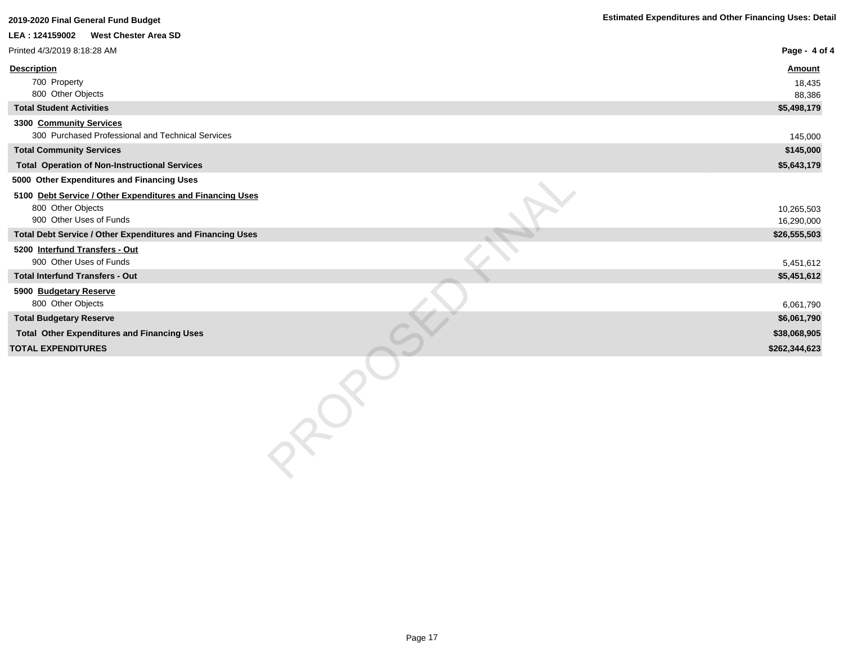| 2019-2020 Final General Fund Budget                                          | <b>Estimated Expenditures and Other Financing Uses: Detail</b> |
|------------------------------------------------------------------------------|----------------------------------------------------------------|
| LEA: 124159002 West Chester Area SD                                          |                                                                |
| Printed 4/3/2019 8:18:28 AM                                                  | Page - 4 of 4                                                  |
| <b>Description</b>                                                           | <b>Amount</b>                                                  |
| 700 Property                                                                 | 18,435                                                         |
| 800 Other Objects                                                            | 88,386                                                         |
| <b>Total Student Activities</b>                                              | \$5,498,179                                                    |
| 3300 Community Services<br>300 Purchased Professional and Technical Services | 145,000                                                        |
| <b>Total Community Services</b>                                              | \$145,000                                                      |
| <b>Total Operation of Non-Instructional Services</b>                         | \$5,643,179                                                    |
| 5000 Other Expenditures and Financing Uses                                   |                                                                |
| 5100 Debt Service / Other Expenditures and Financing Uses                    |                                                                |
| 800 Other Objects                                                            | 10,265,503                                                     |
| 900 Other Uses of Funds                                                      | 16,290,000                                                     |
| Total Debt Service / Other Expenditures and Financing Uses                   | \$26,555,503                                                   |
| 5200 Interfund Transfers - Out                                               |                                                                |
| 900 Other Uses of Funds                                                      | 5,451,612                                                      |
| <b>Total Interfund Transfers - Out</b>                                       | \$5,451,612                                                    |
| 5900 Budgetary Reserve<br>800 Other Objects                                  | 6,061,790                                                      |
| <b>Total Budgetary Reserve</b>                                               | \$6,061,790                                                    |
| <b>Total Other Expenditures and Financing Uses</b>                           | \$38,068,905                                                   |
| <b>TOTAL EXPENDITURES</b>                                                    | \$262,344,623                                                  |
|                                                                              |                                                                |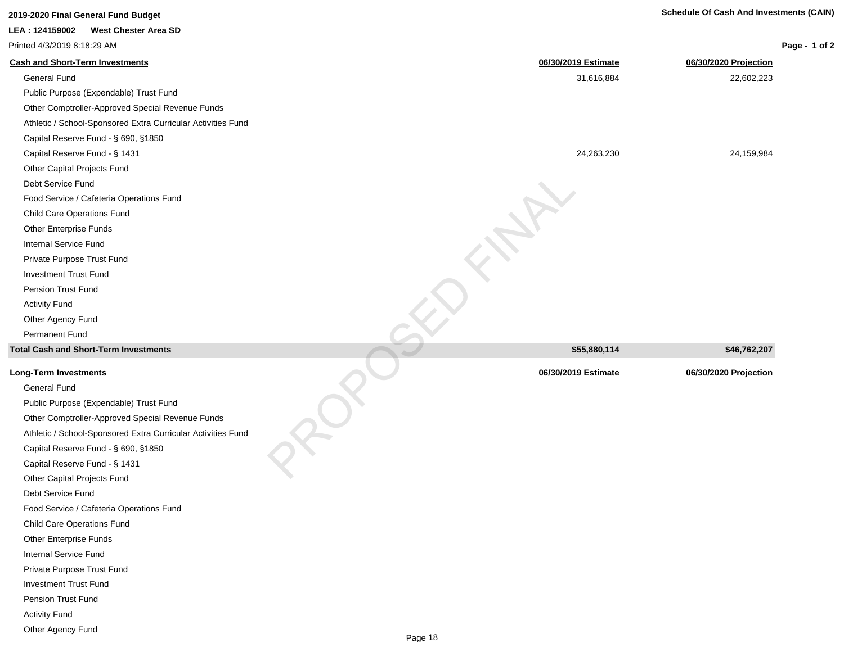| 2019-2020 Final General Fund Budget | <b>Schedule Of Cash And Investments (CAIN)</b> |
|-------------------------------------|------------------------------------------------|

| <b>West Chester Area SD</b><br>LEA : 124159002               |                     |                       |               |
|--------------------------------------------------------------|---------------------|-----------------------|---------------|
| Printed 4/3/2019 8:18:29 AM                                  |                     |                       | Page - 1 of 2 |
| <b>Cash and Short-Term Investments</b>                       | 06/30/2019 Estimate | 06/30/2020 Projection |               |
| <b>General Fund</b>                                          | 31,616,884          | 22,602,223            |               |
| Public Purpose (Expendable) Trust Fund                       |                     |                       |               |
| Other Comptroller-Approved Special Revenue Funds             |                     |                       |               |
| Athletic / School-Sponsored Extra Curricular Activities Fund |                     |                       |               |
| Capital Reserve Fund - § 690, §1850                          |                     |                       |               |
| Capital Reserve Fund - § 1431                                | 24,263,230          | 24,159,984            |               |
| Other Capital Projects Fund                                  |                     |                       |               |
| Debt Service Fund                                            |                     |                       |               |
| Food Service / Cafeteria Operations Fund                     |                     |                       |               |
| <b>Child Care Operations Fund</b>                            |                     |                       |               |
| Other Enterprise Funds                                       |                     |                       |               |
| <b>Internal Service Fund</b>                                 |                     |                       |               |
| Private Purpose Trust Fund                                   |                     |                       |               |
| <b>Investment Trust Fund</b>                                 |                     |                       |               |
| Pension Trust Fund                                           |                     |                       |               |
| <b>Activity Fund</b>                                         |                     |                       |               |
| Other Agency Fund                                            |                     |                       |               |
| Permanent Fund                                               |                     |                       |               |
| <b>Total Cash and Short-Term Investments</b>                 | \$55,880,114        | \$46,762,207          |               |
| <b>Long-Term Investments</b>                                 | 06/30/2019 Estimate | 06/30/2020 Projection |               |
| <b>General Fund</b>                                          |                     |                       |               |
| Public Purpose (Expendable) Trust Fund                       |                     |                       |               |
| Other Comptroller-Approved Special Revenue Funds             |                     |                       |               |
| Athletic / School-Sponsored Extra Curricular Activities Fund |                     |                       |               |
| Capital Reserve Fund - § 690, §1850                          |                     |                       |               |
| Capital Reserve Fund - § 1431                                |                     |                       |               |
| Other Cenitel Drejecte Eund                                  |                     |                       |               |

Capital Reserve Fund - § 690, §1850 Capital Reserve Fund - § 1431 Other Capital Projects Fund

Food Service / Cafeteria Operations Fund

Debt Service Fund

Child Care Operations Fund Other Enterprise Funds Internal Service Fund Private Purpose Trust Fund Investment Trust Fund Pension Trust Fund Activity Fund Other Agency Fund

Page 18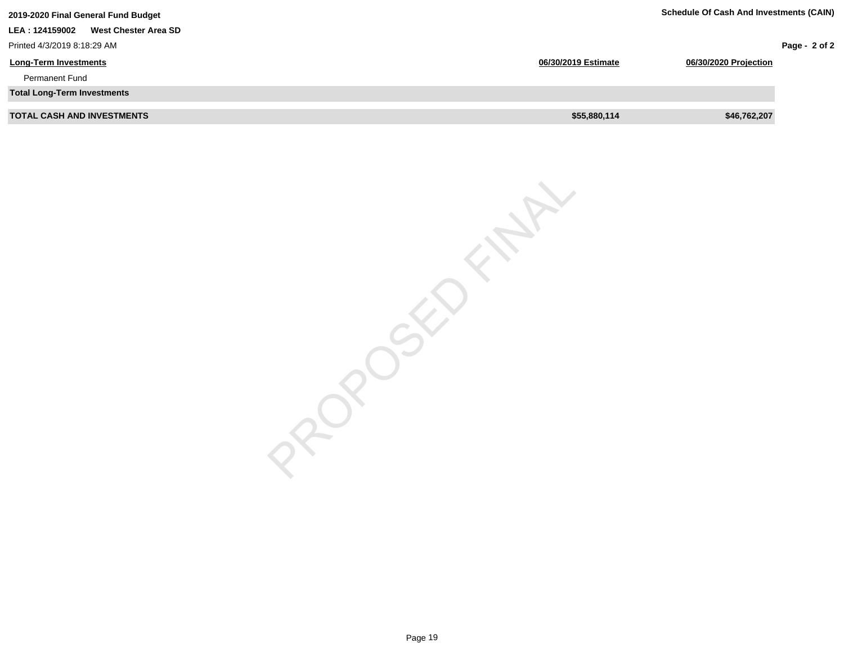| 2019-2020 Final General Fund Budget    |                     | <b>Schedule Of Cash And Investments (CAIN)</b> |               |  |
|----------------------------------------|---------------------|------------------------------------------------|---------------|--|
| West Chester Area SD<br>LEA: 124159002 |                     |                                                |               |  |
| Printed 4/3/2019 8:18:29 AM            |                     |                                                | Page - 2 of 2 |  |
| <b>Long-Term Investments</b>           | 06/30/2019 Estimate | 06/30/2020 Projection                          |               |  |
| <b>Permanent Fund</b>                  |                     |                                                |               |  |
| <b>Total Long-Term Investments</b>     |                     |                                                |               |  |
| <b>TOTAL CASH AND INVESTMENTS</b>      | \$55,880,114        | \$46,762,207                                   |               |  |

PROPOSED FINAL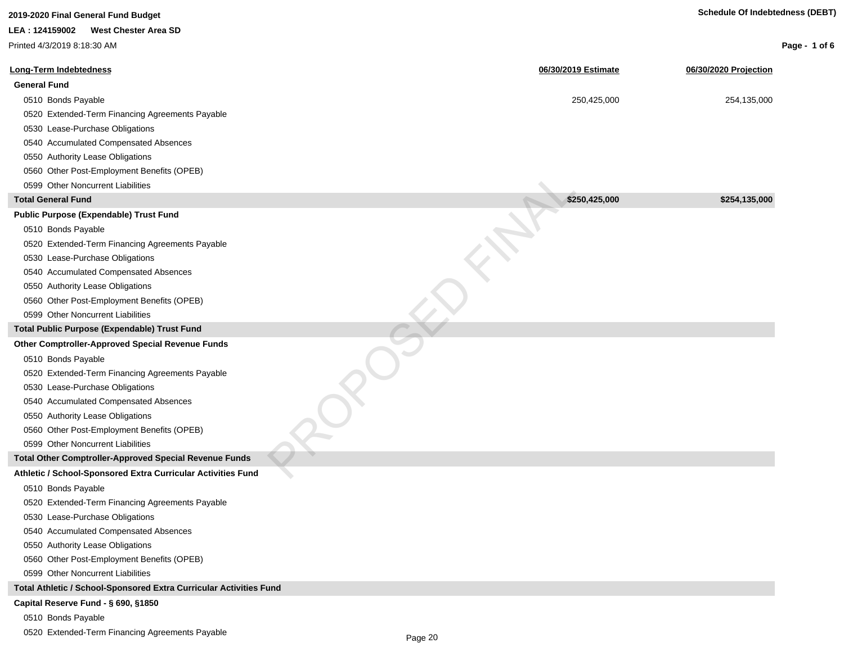| <b>West Chester Area SD</b><br>LEA: 124159002<br>Printed 4/3/2019 8:18:30 AM<br><b>Long-Term Indebtedness</b><br>06/30/2019 Estimate<br>06/30/2020 Projection<br><b>General Fund</b><br>0510 Bonds Payable<br>250,425,000<br>254,135,000<br>0520 Extended-Term Financing Agreements Payable<br>0530 Lease-Purchase Obligations<br>0540 Accumulated Compensated Absences<br>0550 Authority Lease Obligations<br>0560 Other Post-Employment Benefits (OPEB)<br>0599 Other Noncurrent Liabilities<br>\$250,425,000<br>\$254,135,000<br><b>Total General Fund</b><br>Public Purpose (Expendable) Trust Fund<br>0510 Bonds Payable<br>0520 Extended-Term Financing Agreements Payable<br>0530 Lease-Purchase Obligations<br>0540 Accumulated Compensated Absences<br>0550 Authority Lease Obligations<br>0560 Other Post-Employment Benefits (OPEB)<br>0599 Other Noncurrent Liabilities<br><b>Total Public Purpose (Expendable) Trust Fund</b><br>Other Comptroller-Approved Special Revenue Funds<br>0510 Bonds Payable<br>0520 Extended-Term Financing Agreements Payable<br>0530 Lease-Purchase Obligations<br>0540 Accumulated Compensated Absences<br>0550 Authority Lease Obligations<br>0560 Other Post-Employment Benefits (OPEB)<br>0599 Other Noncurrent Liabilities<br>Total Other Comptroller-Approved Special Revenue Funds<br>Athletic / School-Sponsored Extra Curricular Activities Fund<br>0510 Bonds Payable<br>0520 Extended-Term Financing Agreements Payable<br>0530 Lease-Purchase Obligations<br>0540 Accumulated Compensated Absences<br>0550 Authority Lease Obligations<br>0560 Other Post-Employment Benefits (OPEB)<br>0599 Other Noncurrent Liabilities<br>Total Athletic / School-Sponsored Extra Curricular Activities Fund<br>Capital Reserve Fund - § 690, §1850 | 2019-2020 Final General Fund Budget | <b>Schedule Of Indebtedness (DEBT)</b> |               |
|-----------------------------------------------------------------------------------------------------------------------------------------------------------------------------------------------------------------------------------------------------------------------------------------------------------------------------------------------------------------------------------------------------------------------------------------------------------------------------------------------------------------------------------------------------------------------------------------------------------------------------------------------------------------------------------------------------------------------------------------------------------------------------------------------------------------------------------------------------------------------------------------------------------------------------------------------------------------------------------------------------------------------------------------------------------------------------------------------------------------------------------------------------------------------------------------------------------------------------------------------------------------------------------------------------------------------------------------------------------------------------------------------------------------------------------------------------------------------------------------------------------------------------------------------------------------------------------------------------------------------------------------------------------------------------------------------------------------------------------------------------------------------------------------------|-------------------------------------|----------------------------------------|---------------|
|                                                                                                                                                                                                                                                                                                                                                                                                                                                                                                                                                                                                                                                                                                                                                                                                                                                                                                                                                                                                                                                                                                                                                                                                                                                                                                                                                                                                                                                                                                                                                                                                                                                                                                                                                                                               |                                     |                                        |               |
|                                                                                                                                                                                                                                                                                                                                                                                                                                                                                                                                                                                                                                                                                                                                                                                                                                                                                                                                                                                                                                                                                                                                                                                                                                                                                                                                                                                                                                                                                                                                                                                                                                                                                                                                                                                               |                                     |                                        | Page - 1 of 6 |
|                                                                                                                                                                                                                                                                                                                                                                                                                                                                                                                                                                                                                                                                                                                                                                                                                                                                                                                                                                                                                                                                                                                                                                                                                                                                                                                                                                                                                                                                                                                                                                                                                                                                                                                                                                                               |                                     |                                        |               |
|                                                                                                                                                                                                                                                                                                                                                                                                                                                                                                                                                                                                                                                                                                                                                                                                                                                                                                                                                                                                                                                                                                                                                                                                                                                                                                                                                                                                                                                                                                                                                                                                                                                                                                                                                                                               |                                     |                                        |               |
|                                                                                                                                                                                                                                                                                                                                                                                                                                                                                                                                                                                                                                                                                                                                                                                                                                                                                                                                                                                                                                                                                                                                                                                                                                                                                                                                                                                                                                                                                                                                                                                                                                                                                                                                                                                               |                                     |                                        |               |
|                                                                                                                                                                                                                                                                                                                                                                                                                                                                                                                                                                                                                                                                                                                                                                                                                                                                                                                                                                                                                                                                                                                                                                                                                                                                                                                                                                                                                                                                                                                                                                                                                                                                                                                                                                                               |                                     |                                        |               |
|                                                                                                                                                                                                                                                                                                                                                                                                                                                                                                                                                                                                                                                                                                                                                                                                                                                                                                                                                                                                                                                                                                                                                                                                                                                                                                                                                                                                                                                                                                                                                                                                                                                                                                                                                                                               |                                     |                                        |               |
|                                                                                                                                                                                                                                                                                                                                                                                                                                                                                                                                                                                                                                                                                                                                                                                                                                                                                                                                                                                                                                                                                                                                                                                                                                                                                                                                                                                                                                                                                                                                                                                                                                                                                                                                                                                               |                                     |                                        |               |
|                                                                                                                                                                                                                                                                                                                                                                                                                                                                                                                                                                                                                                                                                                                                                                                                                                                                                                                                                                                                                                                                                                                                                                                                                                                                                                                                                                                                                                                                                                                                                                                                                                                                                                                                                                                               |                                     |                                        |               |
|                                                                                                                                                                                                                                                                                                                                                                                                                                                                                                                                                                                                                                                                                                                                                                                                                                                                                                                                                                                                                                                                                                                                                                                                                                                                                                                                                                                                                                                                                                                                                                                                                                                                                                                                                                                               |                                     |                                        |               |
|                                                                                                                                                                                                                                                                                                                                                                                                                                                                                                                                                                                                                                                                                                                                                                                                                                                                                                                                                                                                                                                                                                                                                                                                                                                                                                                                                                                                                                                                                                                                                                                                                                                                                                                                                                                               |                                     |                                        |               |
|                                                                                                                                                                                                                                                                                                                                                                                                                                                                                                                                                                                                                                                                                                                                                                                                                                                                                                                                                                                                                                                                                                                                                                                                                                                                                                                                                                                                                                                                                                                                                                                                                                                                                                                                                                                               |                                     |                                        |               |
|                                                                                                                                                                                                                                                                                                                                                                                                                                                                                                                                                                                                                                                                                                                                                                                                                                                                                                                                                                                                                                                                                                                                                                                                                                                                                                                                                                                                                                                                                                                                                                                                                                                                                                                                                                                               |                                     |                                        |               |
|                                                                                                                                                                                                                                                                                                                                                                                                                                                                                                                                                                                                                                                                                                                                                                                                                                                                                                                                                                                                                                                                                                                                                                                                                                                                                                                                                                                                                                                                                                                                                                                                                                                                                                                                                                                               |                                     |                                        |               |
|                                                                                                                                                                                                                                                                                                                                                                                                                                                                                                                                                                                                                                                                                                                                                                                                                                                                                                                                                                                                                                                                                                                                                                                                                                                                                                                                                                                                                                                                                                                                                                                                                                                                                                                                                                                               |                                     |                                        |               |
|                                                                                                                                                                                                                                                                                                                                                                                                                                                                                                                                                                                                                                                                                                                                                                                                                                                                                                                                                                                                                                                                                                                                                                                                                                                                                                                                                                                                                                                                                                                                                                                                                                                                                                                                                                                               |                                     |                                        |               |
|                                                                                                                                                                                                                                                                                                                                                                                                                                                                                                                                                                                                                                                                                                                                                                                                                                                                                                                                                                                                                                                                                                                                                                                                                                                                                                                                                                                                                                                                                                                                                                                                                                                                                                                                                                                               |                                     |                                        |               |
|                                                                                                                                                                                                                                                                                                                                                                                                                                                                                                                                                                                                                                                                                                                                                                                                                                                                                                                                                                                                                                                                                                                                                                                                                                                                                                                                                                                                                                                                                                                                                                                                                                                                                                                                                                                               |                                     |                                        |               |
|                                                                                                                                                                                                                                                                                                                                                                                                                                                                                                                                                                                                                                                                                                                                                                                                                                                                                                                                                                                                                                                                                                                                                                                                                                                                                                                                                                                                                                                                                                                                                                                                                                                                                                                                                                                               |                                     |                                        |               |
|                                                                                                                                                                                                                                                                                                                                                                                                                                                                                                                                                                                                                                                                                                                                                                                                                                                                                                                                                                                                                                                                                                                                                                                                                                                                                                                                                                                                                                                                                                                                                                                                                                                                                                                                                                                               |                                     |                                        |               |
|                                                                                                                                                                                                                                                                                                                                                                                                                                                                                                                                                                                                                                                                                                                                                                                                                                                                                                                                                                                                                                                                                                                                                                                                                                                                                                                                                                                                                                                                                                                                                                                                                                                                                                                                                                                               |                                     |                                        |               |
|                                                                                                                                                                                                                                                                                                                                                                                                                                                                                                                                                                                                                                                                                                                                                                                                                                                                                                                                                                                                                                                                                                                                                                                                                                                                                                                                                                                                                                                                                                                                                                                                                                                                                                                                                                                               |                                     |                                        |               |
|                                                                                                                                                                                                                                                                                                                                                                                                                                                                                                                                                                                                                                                                                                                                                                                                                                                                                                                                                                                                                                                                                                                                                                                                                                                                                                                                                                                                                                                                                                                                                                                                                                                                                                                                                                                               |                                     |                                        |               |
|                                                                                                                                                                                                                                                                                                                                                                                                                                                                                                                                                                                                                                                                                                                                                                                                                                                                                                                                                                                                                                                                                                                                                                                                                                                                                                                                                                                                                                                                                                                                                                                                                                                                                                                                                                                               |                                     |                                        |               |
|                                                                                                                                                                                                                                                                                                                                                                                                                                                                                                                                                                                                                                                                                                                                                                                                                                                                                                                                                                                                                                                                                                                                                                                                                                                                                                                                                                                                                                                                                                                                                                                                                                                                                                                                                                                               |                                     |                                        |               |
|                                                                                                                                                                                                                                                                                                                                                                                                                                                                                                                                                                                                                                                                                                                                                                                                                                                                                                                                                                                                                                                                                                                                                                                                                                                                                                                                                                                                                                                                                                                                                                                                                                                                                                                                                                                               |                                     |                                        |               |
|                                                                                                                                                                                                                                                                                                                                                                                                                                                                                                                                                                                                                                                                                                                                                                                                                                                                                                                                                                                                                                                                                                                                                                                                                                                                                                                                                                                                                                                                                                                                                                                                                                                                                                                                                                                               |                                     |                                        |               |
|                                                                                                                                                                                                                                                                                                                                                                                                                                                                                                                                                                                                                                                                                                                                                                                                                                                                                                                                                                                                                                                                                                                                                                                                                                                                                                                                                                                                                                                                                                                                                                                                                                                                                                                                                                                               |                                     |                                        |               |
|                                                                                                                                                                                                                                                                                                                                                                                                                                                                                                                                                                                                                                                                                                                                                                                                                                                                                                                                                                                                                                                                                                                                                                                                                                                                                                                                                                                                                                                                                                                                                                                                                                                                                                                                                                                               |                                     |                                        |               |
|                                                                                                                                                                                                                                                                                                                                                                                                                                                                                                                                                                                                                                                                                                                                                                                                                                                                                                                                                                                                                                                                                                                                                                                                                                                                                                                                                                                                                                                                                                                                                                                                                                                                                                                                                                                               |                                     |                                        |               |
|                                                                                                                                                                                                                                                                                                                                                                                                                                                                                                                                                                                                                                                                                                                                                                                                                                                                                                                                                                                                                                                                                                                                                                                                                                                                                                                                                                                                                                                                                                                                                                                                                                                                                                                                                                                               |                                     |                                        |               |
|                                                                                                                                                                                                                                                                                                                                                                                                                                                                                                                                                                                                                                                                                                                                                                                                                                                                                                                                                                                                                                                                                                                                                                                                                                                                                                                                                                                                                                                                                                                                                                                                                                                                                                                                                                                               |                                     |                                        |               |
|                                                                                                                                                                                                                                                                                                                                                                                                                                                                                                                                                                                                                                                                                                                                                                                                                                                                                                                                                                                                                                                                                                                                                                                                                                                                                                                                                                                                                                                                                                                                                                                                                                                                                                                                                                                               |                                     |                                        |               |
|                                                                                                                                                                                                                                                                                                                                                                                                                                                                                                                                                                                                                                                                                                                                                                                                                                                                                                                                                                                                                                                                                                                                                                                                                                                                                                                                                                                                                                                                                                                                                                                                                                                                                                                                                                                               |                                     |                                        |               |
|                                                                                                                                                                                                                                                                                                                                                                                                                                                                                                                                                                                                                                                                                                                                                                                                                                                                                                                                                                                                                                                                                                                                                                                                                                                                                                                                                                                                                                                                                                                                                                                                                                                                                                                                                                                               |                                     |                                        |               |
|                                                                                                                                                                                                                                                                                                                                                                                                                                                                                                                                                                                                                                                                                                                                                                                                                                                                                                                                                                                                                                                                                                                                                                                                                                                                                                                                                                                                                                                                                                                                                                                                                                                                                                                                                                                               |                                     |                                        |               |
|                                                                                                                                                                                                                                                                                                                                                                                                                                                                                                                                                                                                                                                                                                                                                                                                                                                                                                                                                                                                                                                                                                                                                                                                                                                                                                                                                                                                                                                                                                                                                                                                                                                                                                                                                                                               |                                     |                                        |               |
|                                                                                                                                                                                                                                                                                                                                                                                                                                                                                                                                                                                                                                                                                                                                                                                                                                                                                                                                                                                                                                                                                                                                                                                                                                                                                                                                                                                                                                                                                                                                                                                                                                                                                                                                                                                               |                                     |                                        |               |
|                                                                                                                                                                                                                                                                                                                                                                                                                                                                                                                                                                                                                                                                                                                                                                                                                                                                                                                                                                                                                                                                                                                                                                                                                                                                                                                                                                                                                                                                                                                                                                                                                                                                                                                                                                                               |                                     |                                        |               |
|                                                                                                                                                                                                                                                                                                                                                                                                                                                                                                                                                                                                                                                                                                                                                                                                                                                                                                                                                                                                                                                                                                                                                                                                                                                                                                                                                                                                                                                                                                                                                                                                                                                                                                                                                                                               |                                     |                                        |               |
|                                                                                                                                                                                                                                                                                                                                                                                                                                                                                                                                                                                                                                                                                                                                                                                                                                                                                                                                                                                                                                                                                                                                                                                                                                                                                                                                                                                                                                                                                                                                                                                                                                                                                                                                                                                               |                                     |                                        |               |
| 0510 Bonds Payable                                                                                                                                                                                                                                                                                                                                                                                                                                                                                                                                                                                                                                                                                                                                                                                                                                                                                                                                                                                                                                                                                                                                                                                                                                                                                                                                                                                                                                                                                                                                                                                                                                                                                                                                                                            |                                     |                                        |               |

0520 Extended-Term Financing Agreements Payable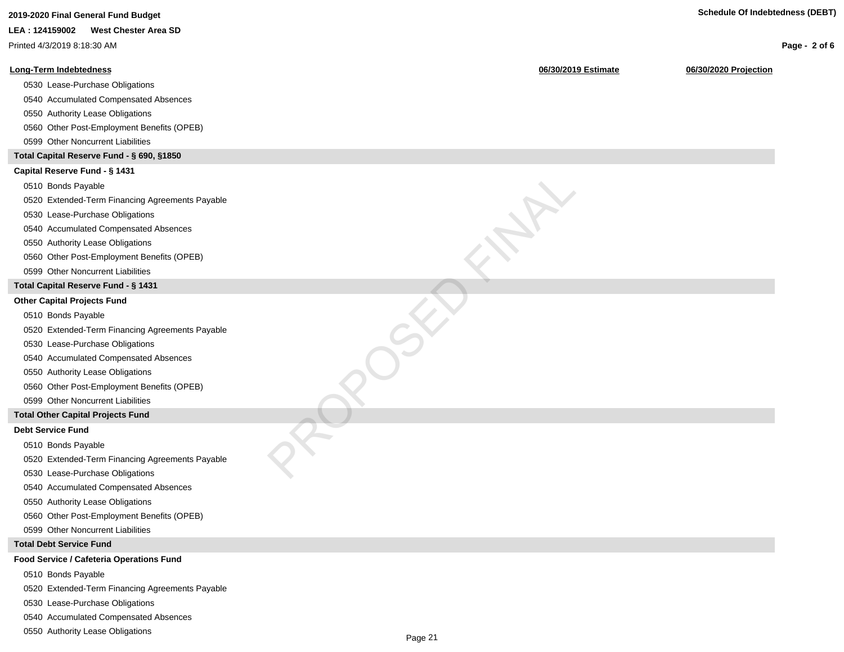| 2019-2020 Final General Fund Budget             |                     | <b>Schedule Of Indebtedness (DEBT)</b> |               |
|-------------------------------------------------|---------------------|----------------------------------------|---------------|
| LEA: 124159002<br><b>West Chester Area SD</b>   |                     |                                        |               |
| Printed 4/3/2019 8:18:30 AM                     |                     |                                        | Page - 2 of 6 |
| <b>Long-Term Indebtedness</b>                   | 06/30/2019 Estimate | 06/30/2020 Projection                  |               |
| 0530 Lease-Purchase Obligations                 |                     |                                        |               |
| 0540 Accumulated Compensated Absences           |                     |                                        |               |
| 0550 Authority Lease Obligations                |                     |                                        |               |
| 0560 Other Post-Employment Benefits (OPEB)      |                     |                                        |               |
| 0599 Other Noncurrent Liabilities               |                     |                                        |               |
| Total Capital Reserve Fund - § 690, §1850       |                     |                                        |               |
| Capital Reserve Fund - § 1431                   |                     |                                        |               |
| 0510 Bonds Payable                              |                     |                                        |               |
| 0520 Extended-Term Financing Agreements Payable |                     |                                        |               |
| 0530 Lease-Purchase Obligations                 |                     |                                        |               |
| 0540 Accumulated Compensated Absences           |                     |                                        |               |
| 0550 Authority Lease Obligations                |                     |                                        |               |
| 0560 Other Post-Employment Benefits (OPEB)      |                     |                                        |               |
| 0599 Other Noncurrent Liabilities               |                     |                                        |               |
| Total Capital Reserve Fund - § 1431             |                     |                                        |               |
| <b>Other Capital Projects Fund</b>              |                     |                                        |               |
| 0510 Bonds Payable                              |                     |                                        |               |
| 0520 Extended-Term Financing Agreements Payable |                     |                                        |               |
| 0530 Lease-Purchase Obligations                 |                     |                                        |               |
| 0540 Accumulated Compensated Absences           |                     |                                        |               |
| 0550 Authority Lease Obligations                |                     |                                        |               |
| 0560 Other Post-Employment Benefits (OPEB)      |                     |                                        |               |
| 0599 Other Noncurrent Liabilities               |                     |                                        |               |
| <b>Total Other Capital Projects Fund</b>        |                     |                                        |               |
| <b>Debt Service Fund</b>                        |                     |                                        |               |
| 0510 Bonds Payable                              |                     |                                        |               |
| 0520 Extended-Term Financing Agreements Payable |                     |                                        |               |
| 0530 Lease-Purchase Obligations                 |                     |                                        |               |
| 0540 Accumulated Compensated Absences           |                     |                                        |               |
| 0550 Authority Lease Obligations                |                     |                                        |               |
| 0560 Other Post-Employment Benefits (OPEB)      |                     |                                        |               |
| 0599 Other Noncurrent Liabilities               |                     |                                        |               |
| <b>Total Debt Service Fund</b>                  |                     |                                        |               |
| Food Service / Cafeteria Operations Fund        |                     |                                        |               |
| 0510 Bonds Payable                              |                     |                                        |               |
| 0520 Extended-Term Financing Agreements Payable |                     |                                        |               |
| 0530 Lease-Purchase Obligations                 |                     |                                        |               |
| 0540 Accumulated Compensated Absences           |                     |                                        |               |

0550 Authority Lease Obligations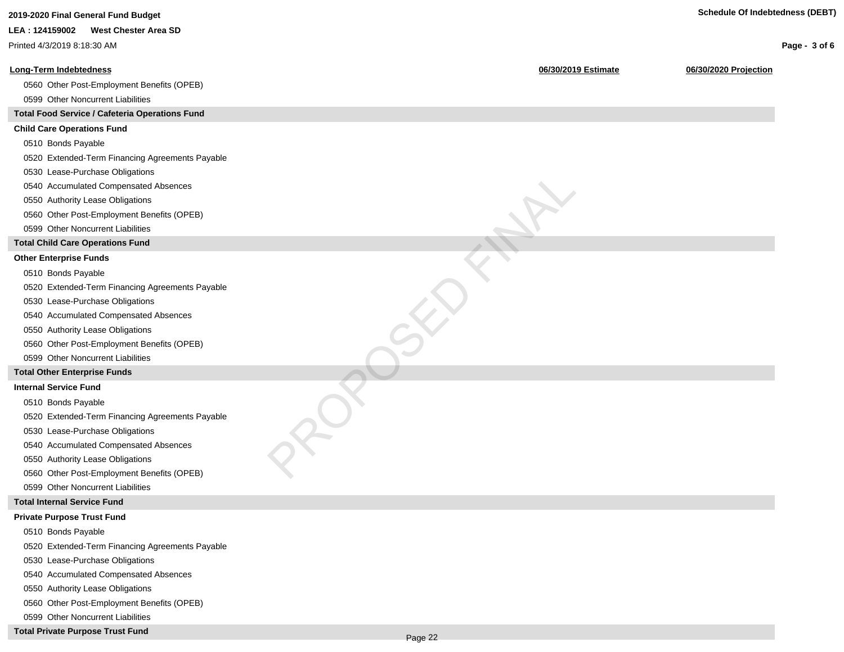| 2019-2020 Final General Fund Budget             | <b>Schedule Of Indebtedness (DEBT)</b>       |               |
|-------------------------------------------------|----------------------------------------------|---------------|
| LEA: 124159002<br><b>West Chester Area SD</b>   |                                              |               |
| Printed 4/3/2019 8:18:30 AM                     |                                              | Page - 3 of 6 |
| <b>Long-Term Indebtedness</b>                   | 06/30/2019 Estimate<br>06/30/2020 Projection |               |
| 0560 Other Post-Employment Benefits (OPEB)      |                                              |               |
| 0599 Other Noncurrent Liabilities               |                                              |               |
| Total Food Service / Cafeteria Operations Fund  |                                              |               |
| <b>Child Care Operations Fund</b>               |                                              |               |
| 0510 Bonds Payable                              |                                              |               |
| 0520 Extended-Term Financing Agreements Payable |                                              |               |
| 0530 Lease-Purchase Obligations                 |                                              |               |
| 0540 Accumulated Compensated Absences           |                                              |               |
| 0550 Authority Lease Obligations                |                                              |               |
| 0560 Other Post-Employment Benefits (OPEB)      |                                              |               |
| 0599 Other Noncurrent Liabilities               |                                              |               |
| <b>Total Child Care Operations Fund</b>         |                                              |               |
| <b>Other Enterprise Funds</b>                   |                                              |               |
| 0510 Bonds Payable                              |                                              |               |
| 0520 Extended-Term Financing Agreements Payable |                                              |               |
| 0530 Lease-Purchase Obligations                 |                                              |               |
| 0540 Accumulated Compensated Absences           |                                              |               |
| 0550 Authority Lease Obligations                |                                              |               |
| 0560 Other Post-Employment Benefits (OPEB)      |                                              |               |
| 0599 Other Noncurrent Liabilities               |                                              |               |
| <b>Total Other Enterprise Funds</b>             |                                              |               |
| <b>Internal Service Fund</b>                    |                                              |               |
| 0510 Bonds Payable                              |                                              |               |
| 0520 Extended-Term Financing Agreements Payable |                                              |               |
| 0530 Lease-Purchase Obligations                 |                                              |               |
| 0540 Accumulated Compensated Absences           |                                              |               |
| 0550 Authority Lease Obligations                |                                              |               |
| 0560 Other Post-Employment Benefits (OPEB)      |                                              |               |
| 0599 Other Noncurrent Liabilities               |                                              |               |
| <b>Total Internal Service Fund</b>              |                                              |               |
| <b>Private Purpose Trust Fund</b>               |                                              |               |
| 0510 Bonds Payable                              |                                              |               |
| 0520 Extended-Term Financing Agreements Payable |                                              |               |
| 0530 Lease-Purchase Obligations                 |                                              |               |
| 0540 Accumulated Compensated Absences           |                                              |               |

0550 Authority Lease Obligations

0560 Other Post-Employment Benefits (OPEB)

0599 Other Noncurrent Liabilities

**Total Private Purpose Trust Fund**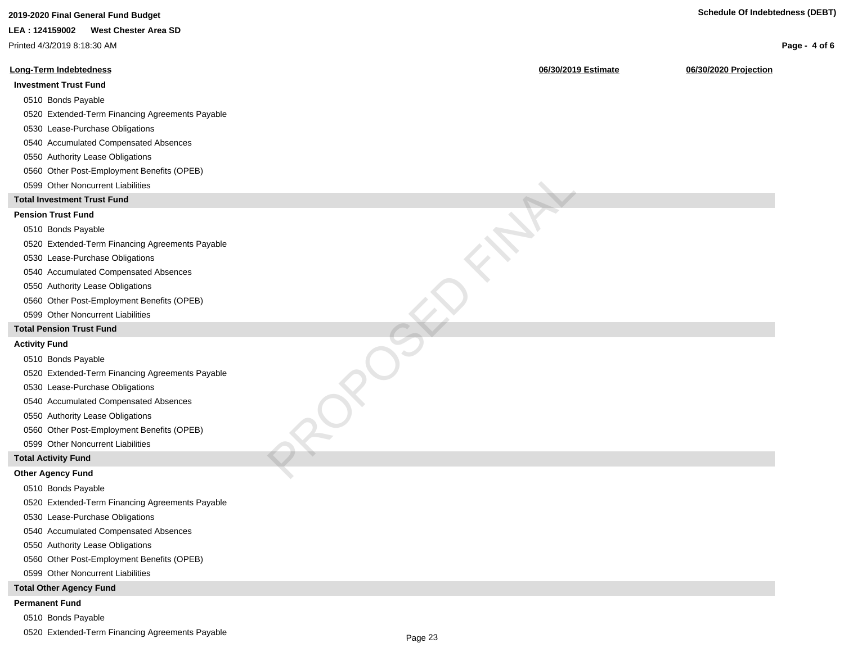| 2019-2020 Final General Fund Budget             |                     | Scriedule Of Indeptedness (DEDT) |
|-------------------------------------------------|---------------------|----------------------------------|
| <b>West Chester Area SD</b><br>LEA: 124159002   |                     |                                  |
| Printed 4/3/2019 8:18:30 AM                     |                     | Page - 4 of 6                    |
| <b>Long-Term Indebtedness</b>                   | 06/30/2019 Estimate | 06/30/2020 Projection            |
| <b>Investment Trust Fund</b>                    |                     |                                  |
| 0510 Bonds Payable                              |                     |                                  |
| 0520 Extended-Term Financing Agreements Payable |                     |                                  |
| 0530 Lease-Purchase Obligations                 |                     |                                  |
| 0540 Accumulated Compensated Absences           |                     |                                  |
| 0550 Authority Lease Obligations                |                     |                                  |
| 0560 Other Post-Employment Benefits (OPEB)      |                     |                                  |
| 0599 Other Noncurrent Liabilities               |                     |                                  |
| <b>Total Investment Trust Fund</b>              |                     |                                  |
| <b>Pension Trust Fund</b>                       |                     |                                  |
| 0510 Bonds Payable                              |                     |                                  |
| 0520 Extended-Term Financing Agreements Payable |                     |                                  |
| 0530 Lease-Purchase Obligations                 |                     |                                  |
| 0540 Accumulated Compensated Absences           |                     |                                  |
| 0550 Authority Lease Obligations                |                     |                                  |
| 0560 Other Post-Employment Benefits (OPEB)      |                     |                                  |
| 0599 Other Noncurrent Liabilities               |                     |                                  |
| <b>Total Pension Trust Fund</b>                 |                     |                                  |
| <b>Activity Fund</b>                            |                     |                                  |
| 0510 Bonds Payable                              |                     |                                  |
| 0520 Extended-Term Financing Agreements Payable |                     |                                  |
| 0530 Lease-Purchase Obligations                 |                     |                                  |
| 0540 Accumulated Compensated Absences           |                     |                                  |
| 0550 Authority Lease Obligations                |                     |                                  |
| 0560 Other Post-Employment Benefits (OPEB)      |                     |                                  |
| 0599 Other Noncurrent Liabilities               |                     |                                  |
| <b>Total Activity Fund</b>                      |                     |                                  |
| <b>Other Agency Fund</b>                        |                     |                                  |
| 0510 Bonds Pavable                              |                     |                                  |
| 0520 Extended-Term Financing Agreements Payable |                     |                                  |
| 0530 Lease-Purchase Obligations                 |                     |                                  |
| 0540 Accumulated Compensated Absences           |                     |                                  |
| 0550 Authority Lease Obligations                |                     |                                  |
| 0560 Other Post-Employment Benefits (OPEB)      |                     |                                  |
| 0599 Other Noncurrent Liabilities               |                     |                                  |
| <b>Total Other Agency Fund</b>                  |                     |                                  |
| <b>Permanent Fund</b>                           |                     |                                  |

0510 Bonds Payable

0520 Extended-Term Financing Agreements Payable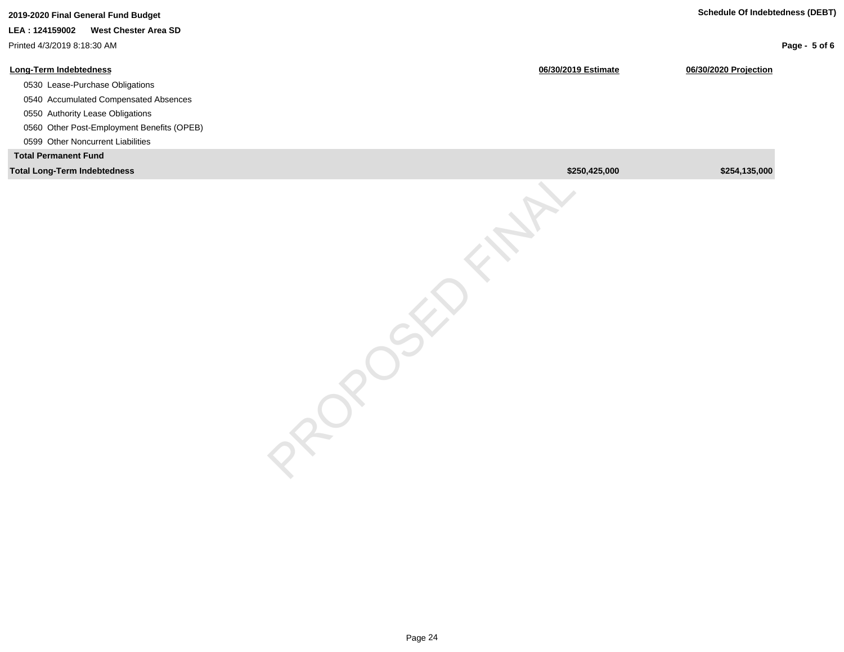|                     | <b>Schedule Of Indebtedness (DEBT)</b> |               |
|---------------------|----------------------------------------|---------------|
| 06/30/2019 Estimate | 06/30/2020 Projection                  | Page - 5 of 6 |
|                     |                                        |               |
|                     |                                        |               |
|                     | \$250,425,000                          | \$254,135,000 |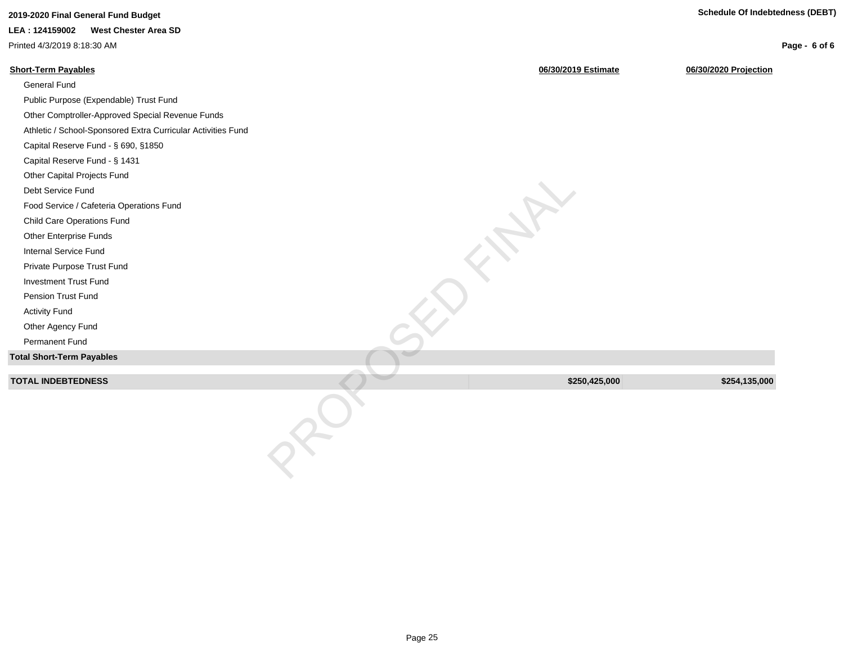| 2019-2020 Final General Fund Budget                          |                     | <b>Schedule Of Indebtedness (DEBT)</b> |
|--------------------------------------------------------------|---------------------|----------------------------------------|
| LEA: 124159002<br><b>West Chester Area SD</b>                |                     |                                        |
| Printed 4/3/2019 8:18:30 AM                                  |                     | Page - 6 of 6                          |
| <b>Short-Term Payables</b>                                   | 06/30/2019 Estimate | 06/30/2020 Projection                  |
| General Fund                                                 |                     |                                        |
| Public Purpose (Expendable) Trust Fund                       |                     |                                        |
| Other Comptroller-Approved Special Revenue Funds             |                     |                                        |
| Athletic / School-Sponsored Extra Curricular Activities Fund |                     |                                        |
| Capital Reserve Fund - § 690, §1850                          |                     |                                        |
| Capital Reserve Fund - § 1431                                |                     |                                        |
| Other Capital Projects Fund                                  |                     |                                        |
| Debt Service Fund                                            |                     |                                        |
| Food Service / Cafeteria Operations Fund                     |                     |                                        |
| Child Care Operations Fund                                   |                     |                                        |
| Other Enterprise Funds                                       |                     |                                        |
| Internal Service Fund                                        |                     |                                        |
| Private Purpose Trust Fund                                   |                     |                                        |
| <b>Investment Trust Fund</b>                                 |                     |                                        |
| Pension Trust Fund                                           |                     |                                        |
| <b>Activity Fund</b>                                         |                     |                                        |
| Other Agency Fund                                            |                     |                                        |
| Permanent Fund                                               |                     |                                        |
| <b>Total Short-Term Payables</b>                             |                     |                                        |
| <b>TOTAL INDEBTEDNESS</b>                                    | \$250,425,000       | \$254,135,000                          |
|                                                              |                     |                                        |